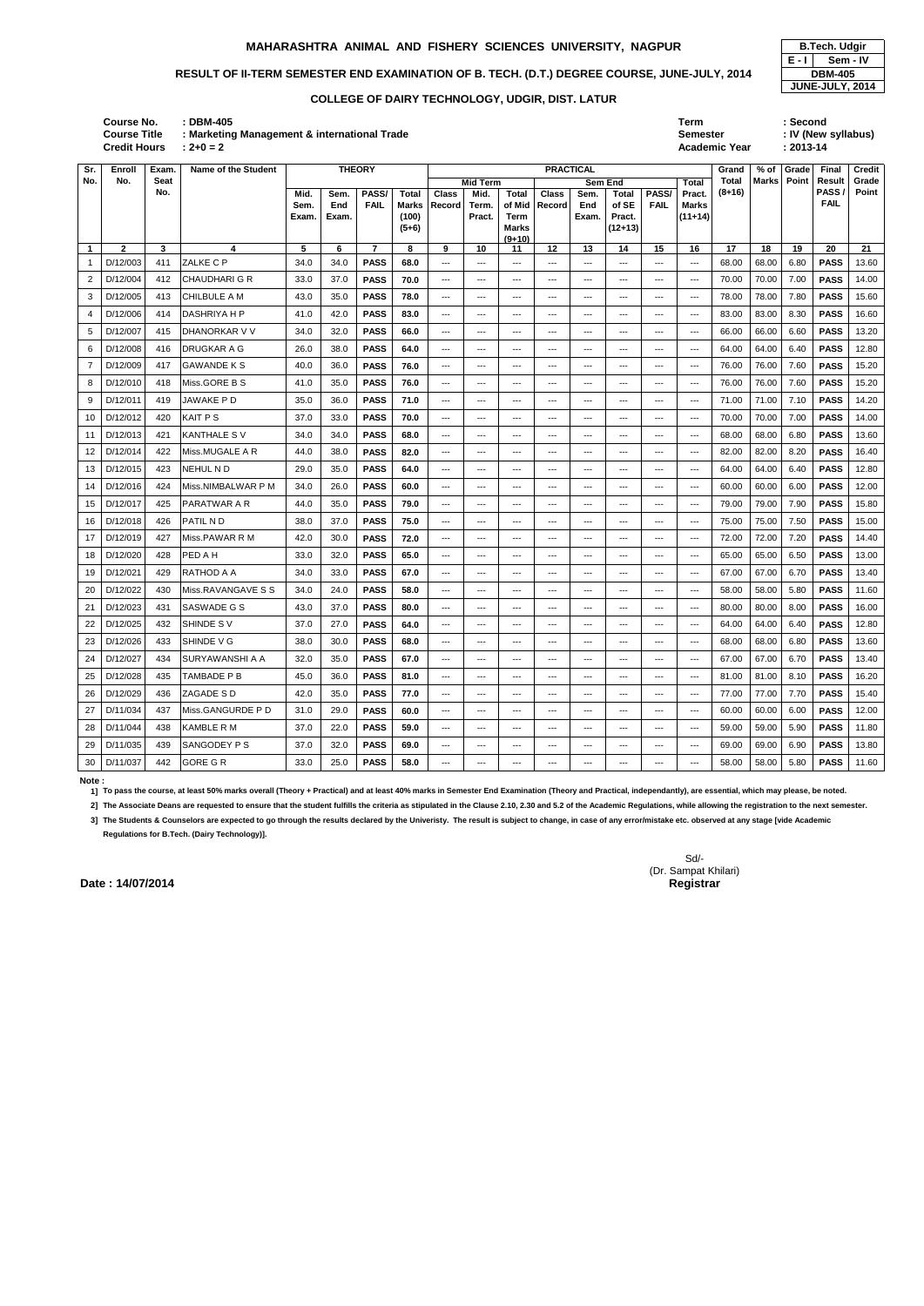# RESULT OF II-TERM SEMESTER END EXAMINATION OF B. TECH. (D.T.) DEGREE COURSE, JUNE-JULY, 2014 **DBM-405**

| Course No.<br><b>Course Title</b><br>Credit Hours | <b>DBM-405</b><br>$: 2 + 0 = 2$ | : Marketing Management & international Trade |                 | Term<br>Semester<br><b>Academic Year</b> | Second<br>: IV (New syllabus)<br>: 2013-14 |
|---------------------------------------------------|---------------------------------|----------------------------------------------|-----------------|------------------------------------------|--------------------------------------------|
|                                                   |                                 | T1122222                                     | <b>BBACTION</b> | $\sim$ $\sim$                            |                                            |

| Sr.             | Enroll      | <b>Exam</b>        | Name of the Student  |       | <b>THEORY</b> |                | <b>PRACTICAL</b><br><b>Mid Term</b><br><b>Sem End</b><br>Total |                                                                                                                                                                                                                                                                                                                                                                                              |                                        |                            |                                                                                                                                                                                                                                                                                                                                                                                                                                                                            |                                                                                                |                                          | Grand                                                                                          | % of                                   | Grade             | Final | Credit |                |                |
|-----------------|-------------|--------------------|----------------------|-------|---------------|----------------|----------------------------------------------------------------|----------------------------------------------------------------------------------------------------------------------------------------------------------------------------------------------------------------------------------------------------------------------------------------------------------------------------------------------------------------------------------------------|----------------------------------------|----------------------------|----------------------------------------------------------------------------------------------------------------------------------------------------------------------------------------------------------------------------------------------------------------------------------------------------------------------------------------------------------------------------------------------------------------------------------------------------------------------------|------------------------------------------------------------------------------------------------|------------------------------------------|------------------------------------------------------------------------------------------------|----------------------------------------|-------------------|-------|--------|----------------|----------------|
| No.             | No.         | <b>Seat</b><br>No. |                      | Mid.  | Sem.          | PASS/          | Total                                                          | <b>Class</b>                                                                                                                                                                                                                                                                                                                                                                                 | Mid.                                   | <b>Total</b>               | <b>Class</b>                                                                                                                                                                                                                                                                                                                                                                                                                                                               | Sem.                                                                                           | Total                                    | PASS/                                                                                          | Pract.                                 | Total<br>$(8+16)$ | Marks | Point  | Result<br>PASS | Grade<br>Point |
|                 |             |                    |                      | Sem.  | End           | <b>FAIL</b>    | Marks                                                          | Record                                                                                                                                                                                                                                                                                                                                                                                       | Term.                                  | of Mid                     | <b>Record</b>                                                                                                                                                                                                                                                                                                                                                                                                                                                              | End                                                                                            | of SE                                    | <b>FAIL</b>                                                                                    | <b>Marks</b>                           |                   |       |        | <b>FAIL</b>    |                |
|                 |             |                    |                      | Exam. | Exam.         |                | (100)<br>$(5+6)$                                               |                                                                                                                                                                                                                                                                                                                                                                                              | Pract.                                 | Term<br><b>Marks</b>       |                                                                                                                                                                                                                                                                                                                                                                                                                                                                            | Exam.                                                                                          | Pract.<br>$(12+13)$                      |                                                                                                | $(11+14)$                              |                   |       |        |                |                |
|                 |             |                    |                      |       |               |                |                                                                |                                                                                                                                                                                                                                                                                                                                                                                              |                                        | $(9+10)$                   |                                                                                                                                                                                                                                                                                                                                                                                                                                                                            |                                                                                                |                                          |                                                                                                |                                        |                   |       |        |                |                |
| $\mathbf{1}$    | 2           | 3                  | 4                    | 5     | 6             | $\overline{7}$ | 8                                                              | 9                                                                                                                                                                                                                                                                                                                                                                                            | 10                                     | 11                         | 12                                                                                                                                                                                                                                                                                                                                                                                                                                                                         | 13                                                                                             | 14                                       | 15                                                                                             | 16                                     | 17                | 18    | 19     | 20             | 21             |
| -1              | D/12/003    | 411                | ZALKE C P            | 34.0  | 34.0          | <b>PASS</b>    | 68.0                                                           | ---                                                                                                                                                                                                                                                                                                                                                                                          | ---                                    | $\sim$ $\sim$              | ---                                                                                                                                                                                                                                                                                                                                                                                                                                                                        | ---                                                                                            | ---                                      |                                                                                                | $\overline{a}$                         | 68.00             | 68.00 | 6.80   | <b>PASS</b>    | 13.60          |
| 2               | D/12/004    | 412                | <b>CHAUDHARI G R</b> | 33.0  | 37.0          | <b>PASS</b>    | 70.0                                                           | $\frac{1}{2} \frac{1}{2} \frac{1}{2} \frac{1}{2} \frac{1}{2} \frac{1}{2} \frac{1}{2} \frac{1}{2} \frac{1}{2} \frac{1}{2} \frac{1}{2} \frac{1}{2} \frac{1}{2} \frac{1}{2} \frac{1}{2} \frac{1}{2} \frac{1}{2} \frac{1}{2} \frac{1}{2} \frac{1}{2} \frac{1}{2} \frac{1}{2} \frac{1}{2} \frac{1}{2} \frac{1}{2} \frac{1}{2} \frac{1}{2} \frac{1}{2} \frac{1}{2} \frac{1}{2} \frac{1}{2} \frac{$ | $\overline{\phantom{a}}$               | $\sim$ $\sim$              | $\frac{1}{2} \left( \frac{1}{2} \right) \left( \frac{1}{2} \right) \left( \frac{1}{2} \right) \left( \frac{1}{2} \right) \left( \frac{1}{2} \right) \left( \frac{1}{2} \right) \left( \frac{1}{2} \right) \left( \frac{1}{2} \right) \left( \frac{1}{2} \right) \left( \frac{1}{2} \right) \left( \frac{1}{2} \right) \left( \frac{1}{2} \right) \left( \frac{1}{2} \right) \left( \frac{1}{2} \right) \left( \frac{1}{2} \right) \left( \frac{1}{2} \right) \left( \frac$ | ---                                                                                            | $\sim$ $\sim$ $\sim$                     | $\sim$ $\sim$ $\sim$                                                                           | $\overline{a}$                         | 70.00             | 70.00 | 7.00   | <b>PASS</b>    | 14.00          |
| 3               | D/12/005    | 413                | CHILBULE A M         | 43.0  | 35.0          | <b>PASS</b>    | 78.0                                                           | $\cdots$                                                                                                                                                                                                                                                                                                                                                                                     | $---$                                  | $\sim$ $\sim$              | ---                                                                                                                                                                                                                                                                                                                                                                                                                                                                        | ---                                                                                            | $---$                                    | $\frac{1}{2} \left( \frac{1}{2} \right) \left( \frac{1}{2} \right) \left( \frac{1}{2} \right)$ | $\sim$ $\sim$ $\sim$                   | 78.00             | 78.00 | 7.80   | <b>PASS</b>    | 15.60          |
| 4               | D/12/006    | 414                | <b>DASHRIYA H P</b>  | 41.0  | 42.0          | <b>PASS</b>    | 83.0                                                           | $\sim$ $\sim$                                                                                                                                                                                                                                                                                                                                                                                | $\sim$ $\sim$                          | $\sim$ $\sim$              | $\overline{\phantom{a}}$                                                                                                                                                                                                                                                                                                                                                                                                                                                   | $\sim$                                                                                         | $\sim$                                   | $\sim$ $\sim$                                                                                  | $\overline{a}$                         | 83.00             | 83.00 | 8.30   | <b>PASS</b>    | 16.60          |
| 5               | D/12/007    | 415                | DHANORKAR V V        | 34.0  | 32.0          | <b>PASS</b>    | 66.0                                                           | $\sim$ $\sim$                                                                                                                                                                                                                                                                                                                                                                                | $---$                                  | $--$                       | ---                                                                                                                                                                                                                                                                                                                                                                                                                                                                        | ---                                                                                            | $\sim$                                   | $\sim$ $\sim$                                                                                  | $\sim$ $\sim$ $\sim$                   | 66.00             | 66.00 | 6.60   | <b>PASS</b>    | 13.20          |
| 6               | D/12/008    | 416                | <b>DRUGKAR A G</b>   | 26.0  | 38.0          | <b>PASS</b>    | 64.0                                                           | $\sim$ $\sim$ $\sim$                                                                                                                                                                                                                                                                                                                                                                         | $---$                                  | $\sim$ $\sim$ $\sim$       | $\overline{\phantom{a}}$                                                                                                                                                                                                                                                                                                                                                                                                                                                   | ---                                                                                            | $---$                                    | $\sim$ $\sim$                                                                                  | $\overline{a}$                         | 64.00             | 64.00 | 6.40   | <b>PASS</b>    | 12.80          |
| 7               | D/12/009    | 417                | <b>GAWANDE K S</b>   | 40.0  | 36.0          | <b>PASS</b>    | 76.0                                                           | $\cdots$                                                                                                                                                                                                                                                                                                                                                                                     | $\sim$ $\sim$                          | $\sim$ $\sim$              | $\frac{1}{2} \left( \frac{1}{2} \right) \left( \frac{1}{2} \right) \left( \frac{1}{2} \right) \left( \frac{1}{2} \right) \left( \frac{1}{2} \right) \left( \frac{1}{2} \right) \left( \frac{1}{2} \right) \left( \frac{1}{2} \right) \left( \frac{1}{2} \right) \left( \frac{1}{2} \right) \left( \frac{1}{2} \right) \left( \frac{1}{2} \right) \left( \frac{1}{2} \right) \left( \frac{1}{2} \right) \left( \frac{1}{2} \right) \left( \frac{1}{2} \right) \left( \frac$ | $\sim$                                                                                         | $\sim$                                   | $\sim$ $\sim$ $\sim$                                                                           | $\sim$ $\sim$                          | 76.00             | 76.00 | 7.60   | <b>PASS</b>    | 15.20          |
| 8               | D/12/010    | 418                | Miss.GORE B S        | 41.0  | 35.0          | <b>PASS</b>    | 76.0                                                           | $\sim$ $\sim$ $\sim$                                                                                                                                                                                                                                                                                                                                                                         | $---$                                  | $\sim$ $\sim$ $\sim$       | $---$                                                                                                                                                                                                                                                                                                                                                                                                                                                                      | $---$                                                                                          | $--$                                     | $\sim$ $\sim$                                                                                  | $\sim$ $\sim$ $\sim$                   | 76.00             | 76.00 | 7.60   | <b>PASS</b>    | 15.20          |
| 9               | D/12/011    | 419                | JAWAKE P D           | 35.0  | 36.0          | <b>PASS</b>    | 71.0                                                           | $\cdots$                                                                                                                                                                                                                                                                                                                                                                                     | $---$                                  | $\qquad \qquad \cdots$     | ---                                                                                                                                                                                                                                                                                                                                                                                                                                                                        | ---                                                                                            | ---                                      | $\sim$ $\sim$                                                                                  | $\frac{1}{2}$                          | 71.00             | 71.00 | 7.10   | <b>PASS</b>    | 14.20          |
| 10              | D/12/012    | 420                | <b>KAIT PS</b>       | 37.0  | 33.0          | <b>PASS</b>    | 70.0                                                           | $\sim$ $\sim$ $\sim$                                                                                                                                                                                                                                                                                                                                                                         | $---$                                  | $  -$                      | $---$                                                                                                                                                                                                                                                                                                                                                                                                                                                                      | ---                                                                                            | $---$                                    | $\sim$ $\sim$                                                                                  | $\sim$ $\sim$ $\sim$                   | 70.00             | 70.00 | 7.00   | <b>PASS</b>    | 14.00          |
| 11              | D/12/013    | 421                | <b>KANTHALE SV</b>   | 34.0  | 34.0          | <b>PASS</b>    | 68.0                                                           | $\qquad \qquad \cdots$                                                                                                                                                                                                                                                                                                                                                                       | $---$                                  | $\qquad \qquad \cdots$     | ---                                                                                                                                                                                                                                                                                                                                                                                                                                                                        | ---                                                                                            | ---                                      | $\qquad \qquad \cdots$                                                                         | $\frac{1}{2}$                          | 68.00             | 68.00 | 6.80   | <b>PASS</b>    | 13.60          |
| 12              | D/12/014    | 422                | Miss.MUGALE A R      | 44.0  | 38.0          | <b>PASS</b>    | 82.0                                                           | $\sim$                                                                                                                                                                                                                                                                                                                                                                                       | ---                                    | $\sim$ $\sim$              | $\overline{\phantom{a}}$                                                                                                                                                                                                                                                                                                                                                                                                                                                   | $\overline{\phantom{a}}$                                                                       | $\sim$                                   | $\sim$ $\sim$ $\sim$                                                                           | $\overline{a}$                         | 82.00             | 82.00 | 8.20   | <b>PASS</b>    | 16.40          |
| 13              | D/12/015    | 423                | NEHUL N D            | 29.0  | 35.0          | <b>PASS</b>    | 64.0                                                           | $\qquad \qquad \cdots$                                                                                                                                                                                                                                                                                                                                                                       | $---$                                  | $\sim$ $\sim$              | ---                                                                                                                                                                                                                                                                                                                                                                                                                                                                        | $---$                                                                                          | $\hspace{0.05cm}$                        | $\qquad \qquad \text{---}$                                                                     | $---$                                  | 64.00             | 64.00 | 6.40   | <b>PASS</b>    | 12.80          |
| 14              | D/12/016    | 424                | Miss.NIMBALWAR P M   | 34.0  | 26.0          | <b>PASS</b>    | 60.0                                                           | $\sim$                                                                                                                                                                                                                                                                                                                                                                                       | $--$                                   | $  -$                      | $---$                                                                                                                                                                                                                                                                                                                                                                                                                                                                      | ---                                                                                            | $---$                                    | $\sim$ $\sim$                                                                                  | $\sim$ $\sim$ $\sim$                   | 60.00             | 60.00 | 6.00   | <b>PASS</b>    | 12.00          |
| 15              | D/12/017    | 425                | PARATWAR A R         | 44.0  | 35.0          | <b>PASS</b>    | 79.0                                                           | $\cdots$                                                                                                                                                                                                                                                                                                                                                                                     | $\qquad \qquad - -$                    | $\qquad \qquad \cdots$     | ---                                                                                                                                                                                                                                                                                                                                                                                                                                                                        | ---                                                                                            | $\hspace{0.05cm}$                        | $\frac{1}{2}$                                                                                  | $\sim$ $\sim$                          | 79.00             | 79.00 | 7.90   | <b>PASS</b>    | 15.80          |
| 16              | D/12/018    | 426                | PATIL ND             | 38.0  | 37.0          | <b>PASS</b>    | 75.0                                                           | $\sim$ $\sim$ $\sim$                                                                                                                                                                                                                                                                                                                                                                         | $---$                                  | $  -$                      | $---$                                                                                                                                                                                                                                                                                                                                                                                                                                                                      | $\sim$                                                                                         | $---$                                    | $\sim$ $\sim$                                                                                  | $\sim$ $\sim$ $\sim$                   | 75.00             | 75.00 | 7.50   | <b>PASS</b>    | 15.00          |
| 17              | D/12/019    | 427                | Miss.PAWAR R M       | 42.0  | 30.0          | <b>PASS</b>    | 72.0                                                           | $\cdots$                                                                                                                                                                                                                                                                                                                                                                                     | $\qquad \qquad \text{---}$             | $\qquad \qquad \cdots$     | ---                                                                                                                                                                                                                                                                                                                                                                                                                                                                        | ---                                                                                            | $\hspace{0.05cm}$                        | $\qquad \qquad \cdots$                                                                         | $\frac{1}{2}$                          | 72.00             | 72.00 | 7.20   | <b>PASS</b>    | 14.40          |
| 18              | D/12/020    | 428                | PED A H              | 33.0  | 32.0          | <b>PASS</b>    | 65.0                                                           | $\sim$                                                                                                                                                                                                                                                                                                                                                                                       | $---$                                  | $  -$                      | $\overline{\phantom{a}}$                                                                                                                                                                                                                                                                                                                                                                                                                                                   | ---                                                                                            | $---$                                    | $\sim$ $\sim$                                                                                  | $\sim$ $\sim$ $\sim$                   | 65.00             | 65.00 | 6.50   | <b>PASS</b>    | 13.00          |
| 19              | D/12/021    | 429                | RATHOD A A           | 34.0  | 33.0          | <b>PASS</b>    | 67.0                                                           | $\cdots$                                                                                                                                                                                                                                                                                                                                                                                     | $---$                                  | $\qquad \qquad \cdots$     | ---                                                                                                                                                                                                                                                                                                                                                                                                                                                                        | $---$                                                                                          | $\hspace{0.05cm}$                        | $\qquad \qquad \text{---}$                                                                     | $\frac{1}{2}$                          | 67.00             | 67.00 | 6.70   | <b>PASS</b>    | 13.40          |
| 20              | D/12/022    | 430                | Miss.RAVANGAVE S S   | 34.0  | 24.0          | <b>PASS</b>    | 58.0                                                           | ---                                                                                                                                                                                                                                                                                                                                                                                          | $\sim$ $\sim$ $\sim$                   | $\sim$ $\sim$              | $\overline{\phantom{a}}$                                                                                                                                                                                                                                                                                                                                                                                                                                                   | $\sim$                                                                                         | $\sim$ $\sim$ $\sim$                     | $\sim$ $\sim$ $\sim$                                                                           | $\overline{a}$                         | 58.00             | 58.00 | 5.80   | <b>PASS</b>    | 11.60          |
| 21              | D/12/023    | 431                | <b>SASWADE G S</b>   | 43.0  | 37.0          | <b>PASS</b>    | 80.0                                                           | $\sim$ $\sim$ $\sim$                                                                                                                                                                                                                                                                                                                                                                         | $--$                                   | $\sim$ $\sim$ $\sim$       | $---$                                                                                                                                                                                                                                                                                                                                                                                                                                                                      | $---$                                                                                          | $---$                                    | $\sim$ $\sim$                                                                                  | $\sim$ $\sim$ $\sim$                   | 80.00             | 80.00 | 8.00   | <b>PASS</b>    | 16.00          |
| 22              | D/12/025    | 432                | SHINDE SV            | 37.0  | 27.0          | <b>PASS</b>    | 64.0                                                           | $\sim$                                                                                                                                                                                                                                                                                                                                                                                       | $---$                                  | $\sim$ $\sim$              | $\overline{\phantom{a}}$                                                                                                                                                                                                                                                                                                                                                                                                                                                   | ---                                                                                            | $\sim$                                   | $\sim$ $\sim$ $\sim$                                                                           | $\sim$ $\sim$ $\sim$                   | 64.00             | 64.00 | 6.40   | <b>PASS</b>    | 12.80          |
| 23              | D/12/026    | 433                | SHINDE V G           | 38.0  | 30.0          | <b>PASS</b>    | 68.0                                                           | $\frac{1}{2} \frac{1}{2} \frac{1}{2} \frac{1}{2} \frac{1}{2} \frac{1}{2} \frac{1}{2} \frac{1}{2} \frac{1}{2} \frac{1}{2} \frac{1}{2} \frac{1}{2} \frac{1}{2} \frac{1}{2} \frac{1}{2} \frac{1}{2} \frac{1}{2} \frac{1}{2} \frac{1}{2} \frac{1}{2} \frac{1}{2} \frac{1}{2} \frac{1}{2} \frac{1}{2} \frac{1}{2} \frac{1}{2} \frac{1}{2} \frac{1}{2} \frac{1}{2} \frac{1}{2} \frac{1}{2} \frac{$ | $\overline{\phantom{a}}$               | $\sim$ $\sim$              | $\frac{1}{2} \left( \frac{1}{2} \right) \left( \frac{1}{2} \right) \left( \frac{1}{2} \right) \left( \frac{1}{2} \right) \left( \frac{1}{2} \right) \left( \frac{1}{2} \right) \left( \frac{1}{2} \right) \left( \frac{1}{2} \right) \left( \frac{1}{2} \right) \left( \frac{1}{2} \right) \left( \frac{1}{2} \right) \left( \frac{1}{2} \right) \left( \frac{1}{2} \right) \left( \frac{1}{2} \right) \left( \frac{1}{2} \right) \left( \frac{1}{2} \right) \left( \frac$ | ---                                                                                            | $\sim$ $\sim$ $\sim$                     | $\cdots$                                                                                       | $\overline{a}$                         | 68.00             | 68.00 | 6.80   | <b>PASS</b>    | 13.60          |
|                 | 24 D/12/027 | 434                | SURYAWANSHI A A      | 32.0  | 35.0          | <b>PASS</b>    | 67.0                                                           |                                                                                                                                                                                                                                                                                                                                                                                              |                                        |                            |                                                                                                                                                                                                                                                                                                                                                                                                                                                                            |                                                                                                |                                          |                                                                                                |                                        | 67.00             | 67.00 | 6.70   | PASS           | 13.40          |
|                 | 25 D/12/028 | 435                | TAMBADE P B          | 45.0  | 36.0          | <b>PASS</b>    | 81.0                                                           | $\sim$                                                                                                                                                                                                                                                                                                                                                                                       | $\sim$ $\sim$ $\sim$                   | $\sim$                     | $\sim$                                                                                                                                                                                                                                                                                                                                                                                                                                                                     | $\sim$                                                                                         | $\sim$                                   | $\qquad \qquad - -$                                                                            | $\sim$                                 | 81.00             | 81.00 | 8.10   | <b>PASS</b>    | 16.20          |
| 26              | D/12/029    | 436                | ZAGADE S D           | 42.0  | 35.0          | <b>PASS</b>    | 77.0                                                           | $\cdots$                                                                                                                                                                                                                                                                                                                                                                                     | $\scriptstyle\cdots\scriptstyle\cdots$ | $\qquad \qquad \cdots$     | ---                                                                                                                                                                                                                                                                                                                                                                                                                                                                        | $\qquad \qquad \cdots$                                                                         | $\hspace{0.05cm} \ldots \hspace{0.05cm}$ | $\qquad \qquad \cdots$                                                                         | $\scriptstyle\cdots\scriptstyle\cdots$ | 77.00             | 77.00 | 7.70   | <b>PASS</b>    | 15.40          |
|                 | 27 D/11/034 | 437                | Miss.GANGURDE P D    | 31.0  | 29.0          | <b>PASS</b>    | 60.0                                                           | $\sim$                                                                                                                                                                                                                                                                                                                                                                                       | $\scriptstyle\cdots\scriptstyle\cdots$ | $\sim$ $\sim$              | ---                                                                                                                                                                                                                                                                                                                                                                                                                                                                        | ---                                                                                            | $\sim$ $\sim$ $\sim$                     | $\qquad \qquad \cdots$                                                                         | $\sim$ $\sim$                          | 60.00             | 60.00 | 6.00   | <b>PASS</b>    | 12.00          |
|                 | 28 D/11/044 | 438                | KAMBLE R M           | 37.0  | 22.0          | <b>PASS</b>    | 59.0                                                           | $\qquad \qquad \cdots$                                                                                                                                                                                                                                                                                                                                                                       | $\sim$ $\sim$ $\sim$                   | $\sim$ $\sim$ $\sim$       | ---                                                                                                                                                                                                                                                                                                                                                                                                                                                                        | $\frac{1}{2} \left( \frac{1}{2} \right) \left( \frac{1}{2} \right) \left( \frac{1}{2} \right)$ | $\sim$ $\sim$ $\sim$                     | $\sim$ $\sim$ $\sim$                                                                           | $\frac{1}{2}$                          | 59.00             | 59.00 | 5.90   | <b>PASS</b>    | 11.80          |
|                 | 29 D/11/035 | 439                | <b>SANGODEY P S</b>  | 37.0  | 32.0          | <b>PASS</b>    | 69.0                                                           | $\qquad \qquad \cdots$                                                                                                                                                                                                                                                                                                                                                                       | $\qquad \qquad \cdots$                 | $\qquad \qquad \text{---}$ | ---                                                                                                                                                                                                                                                                                                                                                                                                                                                                        | ---                                                                                            | $\sim$ $\sim$                            | $\qquad \qquad \cdots$                                                                         | $\scriptstyle\cdots$                   | 69.00             | 69.00 | 6.90   | <b>PASS</b>    | 13.80          |
| 30 <sub>o</sub> | D/11/037    | 442                | GORE G R             | 33.0  | 25.0          | <b>PASS</b>    | 58.0                                                           | $\cdots$                                                                                                                                                                                                                                                                                                                                                                                     | ---                                    | $\sim$ $\sim$              | ---                                                                                                                                                                                                                                                                                                                                                                                                                                                                        | ---                                                                                            | $\hspace{0.05cm}$ - $\hspace{0.05cm}$    | $\scriptstyle\cdots$                                                                           | $\hspace{0.05cm} \ldots$               | 58.00             | 58.00 | 5.80   | <b>PASS</b>    | 11.60          |

**E - I JUNE-JULY, 2014 Sem - IV**

**Note :** 

**1] To pass the course, at least 50% marks overall (Theory + Practical) and at least 40% marks in Semester End Examination (Theory and Practical, independantly), are essential, which may please, be noted.**

2] The Associate Deans are requested to ensure that the student fulfills the criteria as stipulated in the Clause 2.10, 2.30 and 5.2 of the Academic Regulations, while allowing the registration to the next semester.

**3] The Students & Counselors are expected to go through the results declared by the Univeristy. The result is subject to change, in case of any error/mistake etc. observed at any stage [vide Academic Regulations for B.Tech. (Dairy Technology)].**

> Sd/- (Dr. Sampat Khilari)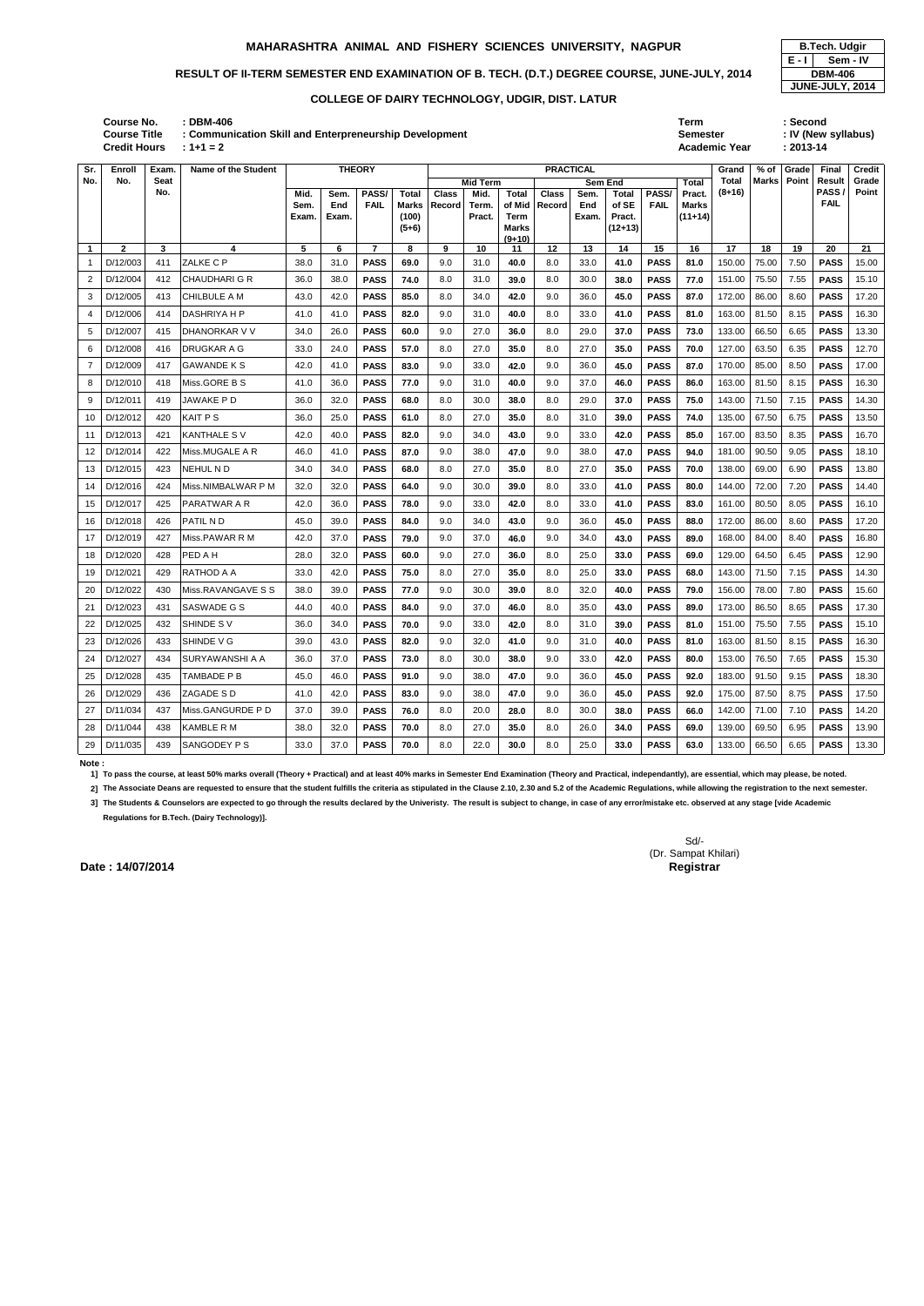# RESULT OF II-TERM SEMESTER END EXAMINATION OF B. TECH. (D.T.) DEGREE COURSE, JUNE-JULY, 2014 **DBM-406**

| No.            | No.          | Seat |                      |                       |                      |                      |                                           |                        | <b>Mid Term</b>         |                                                     |                        | <b>Sem End</b>       |                                       |                      | Total                               | Total    | Marks | Point | Result                     | Grade |
|----------------|--------------|------|----------------------|-----------------------|----------------------|----------------------|-------------------------------------------|------------------------|-------------------------|-----------------------------------------------------|------------------------|----------------------|---------------------------------------|----------------------|-------------------------------------|----------|-------|-------|----------------------------|-------|
|                |              | No.  |                      | Mid.<br>Sem.<br>Exam. | Sem.<br>End<br>Exam. | PASS/<br><b>FAIL</b> | <b>Total</b><br>Marks<br>(100)<br>$(5+6)$ | <b>Class</b><br>Record | Mid.<br>Term.<br>Pract. | <b>Total</b><br>of Mid<br>Term<br>Marks<br>$(9+10)$ | <b>Class</b><br>Record | Sem.<br>End<br>Exam. | Total<br>of SE<br>Pract.<br>$(12+13)$ | PASS/<br><b>FAIL</b> | Pract.<br><b>Marks</b><br>$(11+14)$ | $(8+16)$ |       |       | <b>PASS</b><br><b>FAIL</b> | Point |
| $\mathbf{1}$   | $\mathbf{2}$ | 3    | 4                    | 5                     | 6                    | $\overline{7}$       | 8                                         | 9                      | 10                      | 11                                                  | 12                     | 13                   | 14                                    | 15                   | 16                                  | 17       | 18    | 19    | 20                         | 21    |
| -1             | D/12/003     | 411  | ZALKE C P            | 38.0                  | 31.0                 | <b>PASS</b>          | 69.0                                      | 9.0                    | 31.0                    | 40.0                                                | 8.0                    | 33.0                 | 41.0                                  | <b>PASS</b>          | 81.0                                | 150.00   | 75.00 | 7.50  | <b>PASS</b>                | 15.00 |
| 2              | D/12/004     | 412  | <b>CHAUDHARI G R</b> | 36.0                  | 38.0                 | <b>PASS</b>          | 74.0                                      | 8.0                    | 31.0                    | 39.0                                                | 8.0                    | 30.0                 | 38.0                                  | <b>PASS</b>          | 77.0                                | 151.00   | 75.50 | 7.55  | <b>PASS</b>                | 15.10 |
| 3              | D/12/005     | 413  | CHILBULE A M         | 43.0                  | 42.0                 | <b>PASS</b>          | 85.0                                      | 8.0                    | 34.0                    | 42.0                                                | 9.0                    | 36.0                 | 45.0                                  | <b>PASS</b>          | 87.0                                | 172.00   | 86.00 | 8.60  | <b>PASS</b>                | 17.20 |
| 4              | D/12/006     | 414  | DASHRIYA H P         | 41.0                  | 41.0                 | <b>PASS</b>          | 82.0                                      | 9.0                    | 31.0                    | 40.0                                                | 8.0                    | 33.0                 | 41.0                                  | <b>PASS</b>          | 81.0                                | 163.00   | 81.50 | 8.15  | <b>PASS</b>                | 16.30 |
| 5              | D/12/007     | 415  | DHANORKAR V V        | 34.0                  | 26.0                 | <b>PASS</b>          | 60.0                                      | 9.0                    | 27.0                    | 36.0                                                | 8.0                    | 29.0                 | 37.0                                  | <b>PASS</b>          | 73.0                                | 133.00   | 66.50 | 6.65  | <b>PASS</b>                | 13.30 |
| 6              | D/12/008     | 416  | DRUGKAR A G          | 33.0                  | 24.0                 | <b>PASS</b>          | 57.0                                      | 8.0                    | 27.0                    | 35.0                                                | 8.0                    | 27.0                 | 35.0                                  | <b>PASS</b>          | 70.0                                | 127.00   | 63.50 | 6.35  | <b>PASS</b>                | 12.70 |
| $\overline{7}$ | D/12/009     | 417  | <b>GAWANDE K S</b>   | 42.0                  | 41.0                 | <b>PASS</b>          | 83.0                                      | 9.0                    | 33.0                    | 42.0                                                | 9.0                    | 36.0                 | 45.0                                  | <b>PASS</b>          | 87.0                                | 170.00   | 85.00 | 8.50  | <b>PASS</b>                | 17.00 |
| 8              | D/12/010     | 418  | Miss.GORE B S        | 41.0                  | 36.0                 | <b>PASS</b>          | 77.0                                      | 9.0                    | 31.0                    | 40.0                                                | 9.0                    | 37.0                 | 46.0                                  | <b>PASS</b>          | 86.0                                | 163.00   | 81.50 | 8.15  | <b>PASS</b>                | 16.30 |
| 9              | D/12/011     | 419  | JAWAKE P D           | 36.0                  | 32.0                 | <b>PASS</b>          | 68.0                                      | 8.0                    | 30.0                    | 38.0                                                | 8.0                    | 29.0                 | 37.0                                  | <b>PASS</b>          | 75.0                                | 143.00   | 71.50 | 7.15  | <b>PASS</b>                | 14.30 |
| 10             | D/12/012     | 420  | KAIT P S             | 36.0                  | 25.0                 | <b>PASS</b>          | 61.0                                      | 8.0                    | 27.0                    | 35.0                                                | 8.0                    | 31.0                 | 39.0                                  | <b>PASS</b>          | 74.0                                | 135.00   | 67.50 | 6.75  | <b>PASS</b>                | 13.50 |
| 11             | D/12/013     | 421  | <b>KANTHALE S V</b>  | 42.0                  | 40.0                 | <b>PASS</b>          | 82.0                                      | 9.0                    | 34.0                    | 43.0                                                | 9.0                    | 33.0                 | 42.0                                  | <b>PASS</b>          | 85.0                                | 167.00   | 83.50 | 8.35  | <b>PASS</b>                | 16.70 |
| 12             | D/12/014     | 422  | Miss.MUGALE A R      | 46.0                  | 41.0                 | <b>PASS</b>          | 87.0                                      | 9.0                    | 38.0                    | 47.0                                                | 9.0                    | 38.0                 | 47.0                                  | <b>PASS</b>          | 94.0                                | 181.00   | 90.50 | 9.05  | <b>PASS</b>                | 18.10 |
| 13             | D/12/015     | 423  | NEHUL N D            | 34.0                  | 34.0                 | <b>PASS</b>          | 68.0                                      | 8.0                    | 27.0                    | 35.0                                                | 8.0                    | 27.0                 | 35.0                                  | <b>PASS</b>          | 70.0                                | 138.00   | 69.00 | 6.90  | <b>PASS</b>                | 13.80 |
| 14             | D/12/016     | 424  | Miss.NIMBALWAR P M   | 32.0                  | 32.0                 | <b>PASS</b>          | 64.0                                      | 9.0                    | 30.0                    | 39.0                                                | 8.0                    | 33.0                 | 41.0                                  | <b>PASS</b>          | 80.0                                | 144.00   | 72.00 | 7.20  | <b>PASS</b>                | 14.40 |
| 15             | D/12/017     | 425  | PARATWAR A R         | 42.0                  | 36.0                 | <b>PASS</b>          | 78.0                                      | 9.0                    | 33.0                    | 42.0                                                | 8.0                    | 33.0                 | 41.0                                  | <b>PASS</b>          | 83.0                                | 161.00   | 80.50 | 8.05  | <b>PASS</b>                | 16.10 |
| 16             | D/12/018     | 426  | PATIL N D            | 45.0                  | 39.0                 | <b>PASS</b>          | 84.0                                      | 9.0                    | 34.0                    | 43.0                                                | 9.0                    | 36.0                 | 45.0                                  | <b>PASS</b>          | 88.0                                | 172.00   | 86.00 | 8.60  | <b>PASS</b>                | 17.20 |
| 17             | D/12/019     | 427  | Miss.PAWAR R M       | 42.0                  | 37.0                 | <b>PASS</b>          | 79.0                                      | 9.0                    | 37.0                    | 46.0                                                | 9.0                    | 34.0                 | 43.0                                  | <b>PASS</b>          | 89.0                                | 168.00   | 84.00 | 8.40  | <b>PASS</b>                | 16.80 |
| 18             | D/12/020     | 428  | PED A H              | 28.0                  | 32.0                 | <b>PASS</b>          | 60.0                                      | 9.0                    | 27.0                    | 36.0                                                | 8.0                    | 25.0                 | 33.0                                  | <b>PASS</b>          | 69.0                                | 129.00   | 64.50 | 6.45  | <b>PASS</b>                | 12.90 |
| 19             | D/12/021     | 429  | RATHOD A A           | 33.0                  | 42.0                 | <b>PASS</b>          | 75.0                                      | 8.0                    | 27.0                    | 35.0                                                | 8.0                    | 25.0                 | 33.0                                  | <b>PASS</b>          | 68.0                                | 143.00   | 71.50 | 7.15  | <b>PASS</b>                | 14.30 |
| 20             | D/12/022     | 430  | Miss.RAVANGAVE S S   | 38.0                  | 39.0                 | <b>PASS</b>          | 77.0                                      | 9.0                    | 30.0                    | 39.0                                                | 8.0                    | 32.0                 | 40.0                                  | <b>PASS</b>          | 79.0                                | 156.00   | 78.00 | 7.80  | <b>PASS</b>                | 15.60 |
| 21             | D/12/023     | 431  | SASWADE G S          | 44.0                  | 40.0                 | <b>PASS</b>          | 84.0                                      | 9.0                    | 37.0                    | 46.0                                                | 8.0                    | 35.0                 | 43.0                                  | <b>PASS</b>          | 89.0                                | 173.00   | 86.50 | 8.65  | <b>PASS</b>                | 17.30 |
| 22             | D/12/025     | 432  | SHINDE SV            | 36.0                  | 34.0                 | <b>PASS</b>          | 70.0                                      | 9.0                    | 33.0                    | 42.0                                                | 8.0                    | 31.0                 | 39.0                                  | <b>PASS</b>          | 81.0                                | 151.00   | 75.50 | 7.55  | <b>PASS</b>                | 15.10 |
| 23             | D/12/026     | 433  | SHINDE V G           | 39.0                  | 43.0                 | <b>PASS</b>          | 82.0                                      | 9.0                    | 32.0                    | 41.0                                                | 9.0                    | 31.0                 | 40.0                                  | <b>PASS</b>          | 81.0                                | 163.00   | 81.50 | 8.15  | <b>PASS</b>                | 16.30 |
| 24             | D/12/027     | 434  | SURYAWANSHI A A      | 36.0                  | 37.0                 | <b>PASS</b>          | 73.0                                      | 8.0                    | 30.0                    | 38.0                                                | 9.0                    | 33.0                 | 42.0                                  | <b>PASS</b>          | 80.0                                | 153.00   | 76.50 | 7.65  | <b>PASS</b>                | 15.30 |
| 25             | D/12/028     | 435  | TAMBADE P B          | 45.0                  | 46.0                 | <b>PASS</b>          | 91.0                                      | 9.0                    | 38.0                    | 47.0                                                | 9.0                    | 36.0                 | 45.0                                  | <b>PASS</b>          | 92.0                                | 183.00   | 91.50 | 9.15  | <b>PASS</b>                | 18.30 |
| 26             | D/12/029     | 436  | ZAGADE S D           | 41.0                  | 42.0                 | <b>PASS</b>          | 83.0                                      | 9.0                    | 38.0                    | 47.0                                                | 9.0                    | 36.0                 | 45.0                                  | <b>PASS</b>          | 92.0                                | 175.00   | 87.50 | 8.75  | <b>PASS</b>                | 17.50 |
| 27             | D/11/034     | 437  | Miss.GANGURDE P D    | 37.0                  | 39.0                 | <b>PASS</b>          | 76.0                                      | 8.0                    | 20.0                    | 28.0                                                | 8.0                    | 30.0                 | 38.0                                  | <b>PASS</b>          | 66.0                                | 142.00   | 71.00 | 7.10  | <b>PASS</b>                | 14.20 |
| 28             | D/11/044     | 438  | <b>KAMBLE R M</b>    | 38.0                  | 32.0                 | <b>PASS</b>          | 70.0                                      | 8.0                    | 27.0                    | 35.0                                                | 8.0                    | 26.0                 | 34.0                                  | <b>PASS</b>          | 69.0                                | 139.00   | 69.50 | 6.95  | <b>PASS</b>                | 13.90 |
| 29             | D/11/035     | 439  | SANGODEY P S         | 33.0                  | 37.0                 | <b>PASS</b>          | 70.0                                      | 8.0                    | 22.0                    | 30.0                                                | 8.0                    | 25.0                 | 33.0                                  | <b>PASS</b>          | 63.0                                | 133.00   | 66.50 | 6.65  | <b>PASS</b>                | 13.30 |

### **Note :**

**1] To pass the course, at least 50% marks overall (Theory + Practical) and at least 40% marks in Semester End Examination (Theory and Practical, independantly), are essential, which may please, be noted.**

2] The Associate Deans are requested to ensure that the student fulfills the criteria as stipulated in the Clause 2.10, 2.30 and 5.2 of the Academic Regulations, while allowing the registration to the next semester.

**3] The Students & Counselors are expected to go through the results declared by the Univeristy. The result is subject to change, in case of any error/mistake etc. observed at any stage [vide Academic Regulations for B.Tech. (Dairy Technology)].**

> Sd/- (Dr. Sampat Khilari)

**Date : 14/07/2014** Registrar

| Course No.<br>Course Title<br><b>Credit Hours</b> | : DBM-406<br>$1 + 1 = 2$ | : Communication Skill and Enterpreneurship Development | Term             | Semester<br><b>Academic Year</b> | : Second<br>$: 2013 - 14$ | : IV (New syllabus) |               |
|---------------------------------------------------|--------------------------|--------------------------------------------------------|------------------|----------------------------------|---------------------------|---------------------|---------------|
| Sr.<br>Enroll<br>Exam.                            | Name of the Student      | THEORY                                                 | <b>PRACTICAL</b> | Grand                            | % of Grade                | Final               | <b>Credit</b> |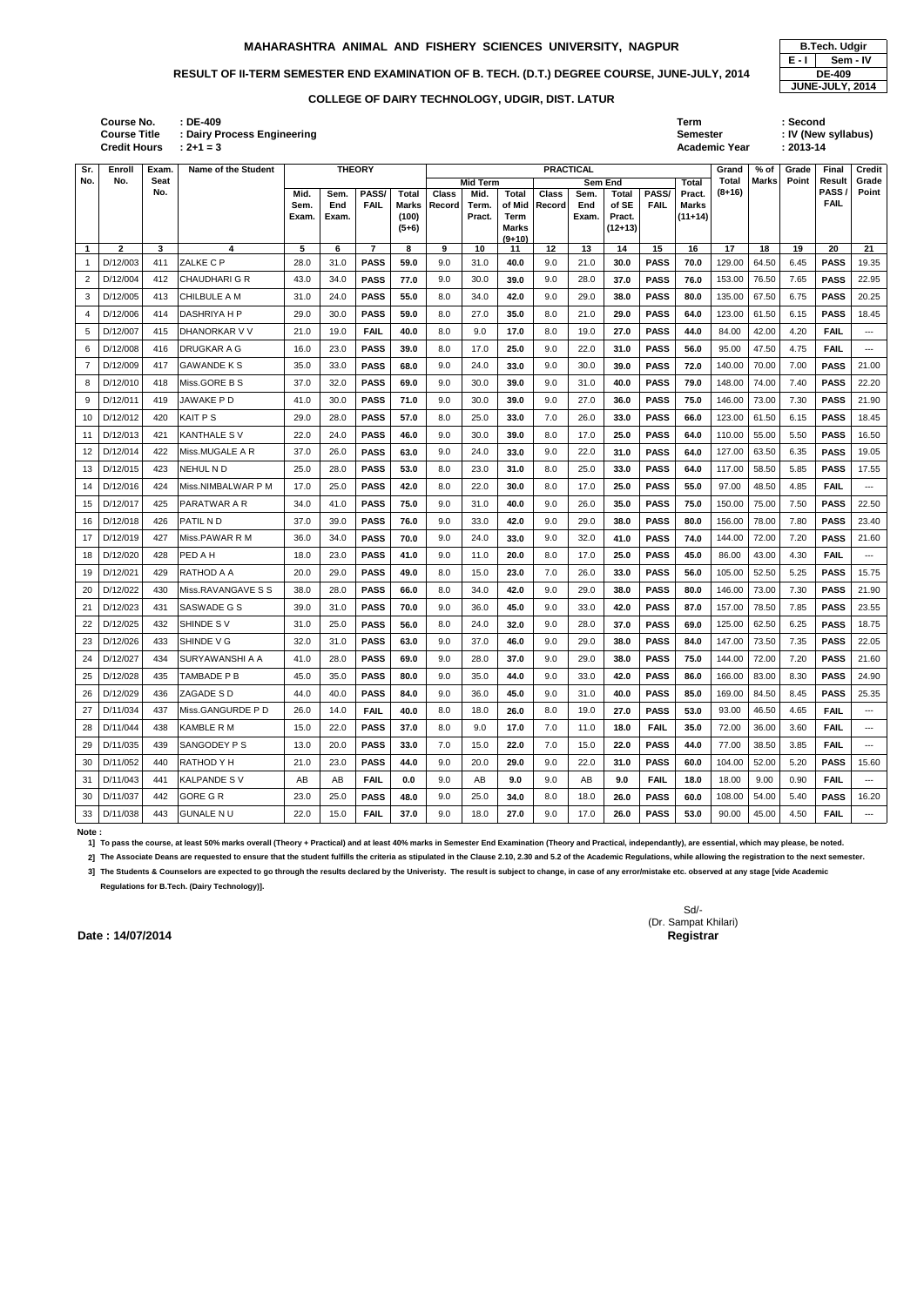# RESULT OF II-TERM SEMESTER END EXAMINATION OF B. TECH. (D.T.) DEGREE COURSE, JUNE-JULY, 2014 **DE-409**

| : DE-409                    | Term                 | : Second            |
|-----------------------------|----------------------|---------------------|
| : Dairy Process Engineering | <b>Semester</b>      | : IV (New syllabus) |
| $: 2 + 1 = 3$               | <b>Academic Year</b> | $: 2013 - 14$       |
|                             |                      |                     |

**Credit Hours Course No. Course Title : Dairy Process Engire** 

| Sr.          | Enroll       | Exam.       | Name of the Student  |              | <b>THEORY</b> |                      |                       | <b>PRACTICAL</b>       |                 |                 |                        |             |                |                      | Grand                  | % of     | Grade        | Final | Credit          |                          |
|--------------|--------------|-------------|----------------------|--------------|---------------|----------------------|-----------------------|------------------------|-----------------|-----------------|------------------------|-------------|----------------|----------------------|------------------------|----------|--------------|-------|-----------------|--------------------------|
| No.          | No.          | <b>Seat</b> |                      |              |               |                      |                       |                        | <b>Mid Term</b> |                 |                        |             | <b>Sem End</b> |                      | Total                  | Total    | <b>Marks</b> | Point | Result<br>PASS/ | Grade                    |
|              |              | No.         |                      | Mid.<br>Sem. | Sem.<br>End   | PASS/<br><b>FAIL</b> | Total<br><b>Marks</b> | <b>Class</b><br>Record | Mid.<br>Term.   | Total<br>of Mid | <b>Class</b><br>Record | Sem.<br>End | Total<br>of SE | PASS/<br><b>FAIL</b> | Pract.<br><b>Marks</b> | $(8+16)$ |              |       | <b>FAIL</b>     | Point                    |
|              |              |             |                      | Exam.        | Exam.         |                      | (100)                 |                        | Pract.          | Term            |                        | Exam.       | Pract.         |                      | $(11+14)$              |          |              |       |                 |                          |
|              |              |             |                      |              |               |                      | $(5+6)$               |                        |                 | Marks           |                        |             | $(12+13)$      |                      |                        |          |              |       |                 |                          |
| $\mathbf{1}$ | $\mathbf{2}$ | 3           | 4                    | 5            | 6             | $\overline{7}$       | 8                     | 9                      | 10              | $(9+10)$<br>11  | 12                     | 13          | 14             | 15                   | 16                     | 17       | 18           | 19    | 20              | 21                       |
| $\mathbf{1}$ | D/12/003     | 411         | ZALKE C P            | 28.0         | 31.0          | <b>PASS</b>          | 59.0                  | 9.0                    | 31.0            | 40.0            | 9.0                    | 21.0        | 30.0           | <b>PASS</b>          | 70.0                   | 129.00   | 64.50        | 6.45  | <b>PASS</b>     | 19.35                    |
| 2            | D/12/004     | 412         | <b>CHAUDHARI G R</b> | 43.0         | 34.0          | <b>PASS</b>          | 77.0                  | 9.0                    | 30.0            | 39.0            | 9.0                    | 28.0        | 37.0           | <b>PASS</b>          | 76.0                   | 153.00   | 76.50        | 7.65  | <b>PASS</b>     | 22.95                    |
| 3            | D/12/005     | 413         | <b>CHILBULE A M</b>  | 31.0         | 24.0          | <b>PASS</b>          | 55.0                  | 8.0                    | 34.0            | 42.0            | 9.0                    | 29.0        | 38.0           | <b>PASS</b>          | 80.0                   | 135.00   | 67.50        | 6.75  | <b>PASS</b>     | 20.25                    |
| 4            | D/12/006     | 414         | <b>DASHRIYA H P</b>  | 29.0         | 30.0          | <b>PASS</b>          | 59.0                  | 8.0                    | 27.0            | 35.0            | 8.0                    | 21.0        | 29.0           | <b>PASS</b>          | 64.0                   | 123.00   | 61.50        | 6.15  | <b>PASS</b>     | 18.45                    |
| 5            | D/12/007     | 415         | DHANORKAR V V        | 21.0         | 19.0          | <b>FAIL</b>          | 40.0                  | 8.0                    | 9.0             | 17.0            | 8.0                    | 19.0        | 27.0           | <b>PASS</b>          | 44.0                   | 84.00    | 42.00        | 4.20  | <b>FAIL</b>     | ---                      |
| 6            | D/12/008     | 416         | <b>DRUGKAR A G</b>   | 16.0         | 23.0          | <b>PASS</b>          | 39.0                  | 8.0                    | 17.0            | 25.0            | 9.0                    | 22.0        | 31.0           | <b>PASS</b>          | 56.0                   | 95.00    | 47.50        | 4.75  | <b>FAIL</b>     | $\overline{\phantom{a}}$ |
| 7            | D/12/009     | 417         | <b>GAWANDE K S</b>   | 35.0         | 33.0          | <b>PASS</b>          | 68.0                  | 9.0                    | 24.0            | 33.0            | 9.0                    | 30.0        | 39.0           | <b>PASS</b>          | 72.0                   | 140.00   | 70.00        | 7.00  | <b>PASS</b>     | 21.00                    |
| 8            | D/12/010     | 418         | Miss.GORE B S        | 37.0         | 32.0          | <b>PASS</b>          | 69.0                  | 9.0                    | 30.0            | 39.0            | 9.0                    | 31.0        | 40.0           | <b>PASS</b>          | 79.0                   | 148.00   | 74.00        | 7.40  | <b>PASS</b>     | 22.20                    |
| 9            | D/12/011     | 419         | JAWAKE P D           | 41.0         | 30.0          | <b>PASS</b>          | 71.0                  | 9.0                    | 30.0            | 39.0            | 9.0                    | 27.0        | 36.0           | <b>PASS</b>          | 75.0                   | 146.00   | 73.00        | 7.30  | <b>PASS</b>     | 21.90                    |
| 10           | D/12/012     | 420         | <b>KAIT PS</b>       | 29.0         | 28.0          | <b>PASS</b>          | 57.0                  | 8.0                    | 25.0            | 33.0            | 7.0                    | 26.0        | 33.0           | <b>PASS</b>          | 66.0                   | 123.00   | 61.50        | 6.15  | <b>PASS</b>     | 18.45                    |
| 11           | D/12/013     | 421         | <b>KANTHALE SV</b>   | 22.0         | 24.0          | <b>PASS</b>          | 46.0                  | 9.0                    | 30.0            | 39.0            | 8.0                    | 17.0        | 25.0           | <b>PASS</b>          | 64.0                   | 110.00   | 55.00        | 5.50  | <b>PASS</b>     | 16.50                    |
| 12           | D/12/014     | 422         | Miss.MUGALE A R      | 37.0         | 26.0          | <b>PASS</b>          | 63.0                  | 9.0                    | 24.0            | 33.0            | 9.0                    | 22.0        | 31.0           | <b>PASS</b>          | 64.0                   | 127.00   | 63.50        | 6.35  | <b>PASS</b>     | 19.05                    |
| 13           | D/12/015     | 423         | <b>NEHUL ND</b>      | 25.0         | 28.0          | <b>PASS</b>          | 53.0                  | 8.0                    | 23.0            | 31.0            | 8.0                    | 25.0        | 33.0           | <b>PASS</b>          | 64.0                   | 117.00   | 58.50        | 5.85  | <b>PASS</b>     | 17.55                    |
| 14           | D/12/016     | 424         | Miss.NIMBALWAR P M   | 17.0         | 25.0          | <b>PASS</b>          | 42.0                  | 8.0                    | 22.0            | 30.0            | 8.0                    | 17.0        | 25.0           | <b>PASS</b>          | 55.0                   | 97.00    | 48.50        | 4.85  | <b>FAIL</b>     | $\sim$ $\sim$            |
| 15           | D/12/017     | 425         | <b>PARATWAR A R</b>  | 34.0         | 41.0          | <b>PASS</b>          | 75.0                  | 9.0                    | 31.0            | 40.0            | 9.0                    | 26.0        | 35.0           | <b>PASS</b>          | 75.0                   | 150.00   | 75.00        | 7.50  | <b>PASS</b>     | 22.50                    |
| 16           | D/12/018     | 426         | PATIL ND             | 37.0         | 39.0          | <b>PASS</b>          | 76.0                  | 9.0                    | 33.0            | 42.0            | 9.0                    | 29.0        | 38.0           | <b>PASS</b>          | 80.0                   | 156.00   | 78.00        | 7.80  | <b>PASS</b>     | 23.40                    |
| 17           | D/12/019     | 427         | Miss.PAWAR R M       | 36.0         | 34.0          | <b>PASS</b>          | 70.0                  | 9.0                    | 24.0            | 33.0            | 9.0                    | 32.0        | 41.0           | <b>PASS</b>          | 74.0                   | 144.00   | 72.00        | 7.20  | <b>PASS</b>     | 21.60                    |
| 18           | D/12/020     | 428         | PED A H              | 18.0         | 23.0          | <b>PASS</b>          | 41.0                  | 9.0                    | 11.0            | 20.0            | 8.0                    | 17.0        | 25.0           | <b>PASS</b>          | 45.0                   | 86.00    | 43.00        | 4.30  | <b>FAIL</b>     | $\overline{\phantom{a}}$ |
| 19           | D/12/021     | 429         | RATHOD A A           | 20.0         | 29.0          | <b>PASS</b>          | 49.0                  | 8.0                    | 15.0            | 23.0            | 7.0                    | 26.0        | 33.0           | <b>PASS</b>          | 56.0                   | 105.00   | 52.50        | 5.25  | <b>PASS</b>     | 15.75                    |
| 20           | D/12/022     | 430         | Miss.RAVANGAVE S S   | 38.0         | 28.0          | <b>PASS</b>          | 66.0                  | 8.0                    | 34.0            | 42.0            | 9.0                    | 29.0        | 38.0           | <b>PASS</b>          | 80.0                   | 146.00   | 73.00        | 7.30  | <b>PASS</b>     | 21.90                    |
| 21           | D/12/023     | 431         | SASWADE G S          | 39.0         | 31.0          | <b>PASS</b>          | 70.0                  | 9.0                    | 36.0            | 45.0            | 9.0                    | 33.0        | 42.0           | <b>PASS</b>          | 87.0                   | 157.00   | 78.50        | 7.85  | <b>PASS</b>     | 23.55                    |
| 22           | D/12/025     | 432         | SHINDE SV            | 31.0         | 25.0          | <b>PASS</b>          | 56.0                  | 8.0                    | 24.0            | 32.0            | 9.0                    | 28.0        | 37.0           | <b>PASS</b>          | 69.0                   | 125.00   | 62.50        | 6.25  | <b>PASS</b>     | 18.75                    |
| 23           | D/12/026     | 433         | SHINDE V G           | 32.0         | 31.0          | <b>PASS</b>          | 63.0                  | 9.0                    | 37.0            | 46.0            | 9.0                    | 29.0        | 38.0           | <b>PASS</b>          | 84.0                   | 147.00   | 73.50        | 7.35  | <b>PASS</b>     | 22.05                    |
| 24           | D/12/027     | 434         | SURYAWANSHI A A      | 41.0         | 28.0          | <b>PASS</b>          | 69.0                  | 9.0                    | 28.0            | 37.0            | 9.0                    | 29.0        | 38.0           | <b>PASS</b>          | 75.0                   | 144.00   | 72.00        | 7.20  | <b>PASS</b>     | 21.60                    |
| 25           | D/12/028     | 435         | TAMBADE P B          | 45.0         | 35.0          | <b>PASS</b>          | 80.0                  | 9.0                    | 35.0            | 44.0            | 9.0                    | 33.0        | 42.0           | <b>PASS</b>          | 86.0                   | 166.00   | 83.00        | 8.30  | <b>PASS</b>     | 24.90                    |
| 26           | D/12/029     | 436         | ZAGADE S D           | 44.0         | 40.0          | <b>PASS</b>          | 84.0                  | 9.0                    | 36.0            | 45.0            | 9.0                    | 31.0        | 40.0           | <b>PASS</b>          | 85.0                   | 169.00   | 84.50        | 8.45  | <b>PASS</b>     | 25.35                    |
| 27           | D/11/034     | 437         | Miss.GANGURDE P D    | 26.0         | 14.0          | <b>FAIL</b>          | 40.0                  | 8.0                    | 18.0            | 26.0            | 8.0                    | 19.0        | 27.0           | <b>PASS</b>          | 53.0                   | 93.00    | 46.50        | 4.65  | <b>FAIL</b>     | $\sim$                   |
| 28           | D/11/044     | 438         | <b>KAMBLE R M</b>    | 15.0         | 22.0          | <b>PASS</b>          | 37.0                  | 8.0                    | 9.0             | 17.0            | 7.0                    | 11.0        | 18.0           | <b>FAIL</b>          | 35.0                   | 72.00    | 36.00        | 3.60  | <b>FAIL</b>     | $\sim$ $\sim$ $\sim$     |
| 29           | D/11/035     | 439         | ISANGODEY P S        | 13.0         | 20.0          | <b>PASS</b>          | 33.0                  | 7.0                    | 15.0            | 22.0            | 7.0                    | 15.0        | 22.0           | <b>PASS</b>          | 44.0                   | 77.00    | 38.50        | 3.85  | <b>FAIL</b>     | $\sim$                   |
| 30           | D/11/052     | 440         | RATHOD Y H           | 21.0         | 23.0          | <b>PASS</b>          | 44.0                  | 9.0                    | 20.0            | 29.0            | 9.0                    | 22.0        | 31.0           | <b>PASS</b>          | 60.0                   | 104.00   | 52.00        | 5.20  | <b>PASS</b>     | 15.60                    |
| 31           | D/11/043     | 441         | KALPANDE S V         | AB           | AB            | <b>FAIL</b>          | 0.0                   | 9.0                    | AB              | 9.0             | 9.0                    | AB          | 9.0            | <b>FAIL</b>          | 18.0                   | 18.00    | 9.00         | 0.90  | <b>FAIL</b>     | $\sim$                   |
| 30           | D/11/037     | 442         | <b>GORE G R</b>      | 23.0         | 25.0          | <b>PASS</b>          | 48.0                  | 9.0                    | 25.0            | 34.0            | 8.0                    | 18.0        | 26.0           | <b>PASS</b>          | 60.0                   | 108.00   | 54.00        | 5.40  | <b>PASS</b>     | 16.20                    |
|              | 33 D/11/038  | 443         | <b>GUNALE N U</b>    | 22.0         | 15.0          | <b>FAIL</b>          | 37.0                  | 9.0                    | 18.0            | 27.0            | 9.0                    | 17.0        | 26.0           | <b>PASS</b>          | 53.0                   | 90.00    | 45.00        | 4.50  | <b>FAIL</b>     | $\sim$                   |

**Note :** 

**1] To pass the course, at least 50% marks overall (Theory + Practical) and at least 40% marks in Semester End Examination (Theory and Practical, independantly), are essential, which may please, be noted.**

2] The Associate Deans are requested to ensure that the student fulfills the criteria as stipulated in the Clause 2.10, 2.30 and 5.2 of the Academic Regulations, while allowing the registration to the next semester.

**3] The Students & Counselors are expected to go through the results declared by the Univeristy. The result is subject to change, in case of any error/mistake etc. observed at any stage [vide Academic Regulations for B.Tech. (Dairy Technology)].**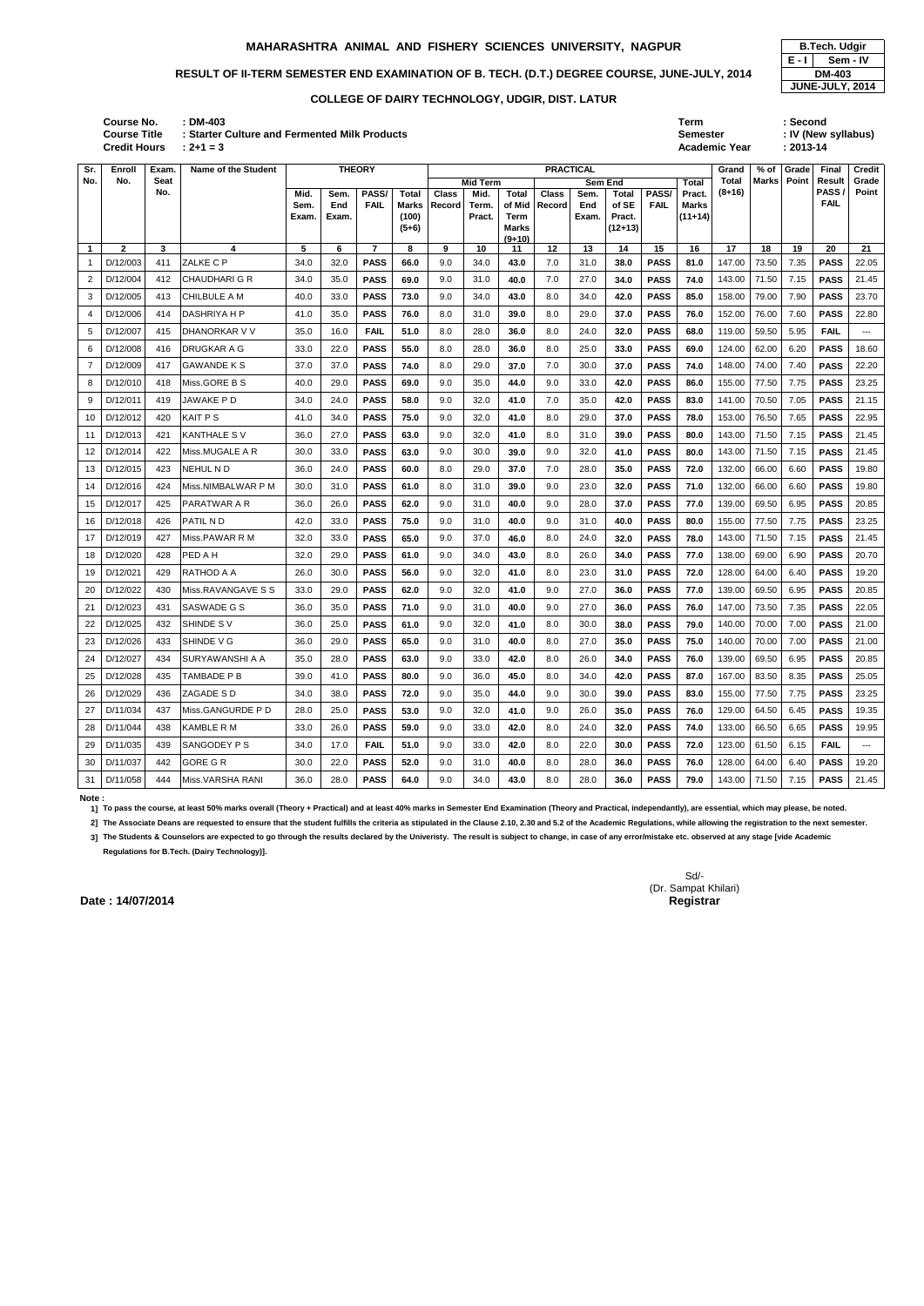# RESULT OF II-TERM SEMESTER END EXAMINATION OF B. TECH. (D.T.) DEGREE COURSE, JUNE-JULY, 2014 **DM-403**

**: 2+1 = 3 Academic Year : 2013-14**

| <b>Course No.</b>   | <b>DM-403</b>                                 | Term                 | Second              |
|---------------------|-----------------------------------------------|----------------------|---------------------|
| <b>Course Title</b> | · Starter Culture and Fermented Milk Products | Semester             | : IV (New syllabus) |
| <b>Credit Hours</b> | $: 2 + 1 = 3$                                 | <b>Academic Year</b> | 2013-14             |

| Sr.            | Enroll       | Exam. | Name of the Student    | <b>THEORY</b> |              |                      |                       |              |                 | <b>PRACTICAL</b>       |              |              |                |             |                           | Grand        | % of  | Grade | Final                | Credit               |
|----------------|--------------|-------|------------------------|---------------|--------------|----------------------|-----------------------|--------------|-----------------|------------------------|--------------|--------------|----------------|-------------|---------------------------|--------------|-------|-------|----------------------|----------------------|
| No.            | No.          | Seat  |                        |               |              |                      |                       |              | <b>Mid Term</b> |                        |              |              | Sem End        |             | Total                     | Total        | Marks | Point | Result               | Grade                |
|                |              | No.   |                        | Mid.          | Sem.         | PASS/<br><b>FAIL</b> | Total                 | <b>Class</b> | Mid.            | <b>Total</b><br>of Mid | <b>Class</b> | Sem.         | Total<br>of SE | PASS/       | Pract.                    | $(8+16)$     |       |       | PASS/<br><b>FAIL</b> | Point                |
|                |              |       |                        | Sem.<br>Exam. | End<br>Exam. |                      | <b>Marks</b><br>(100) | Record       | Term.<br>Pract. | Term                   | Record       | End<br>Exam. | Pract.         | <b>FAIL</b> | <b>Marks</b><br>$(11+14)$ |              |       |       |                      |                      |
|                |              |       |                        |               |              |                      | $(5+6)$               |              |                 | <b>Marks</b>           |              |              | $(12+13)$      |             |                           |              |       |       |                      |                      |
| $\mathbf{1}$   | $\mathbf{2}$ | 3     | 4                      | 5             | 6            | $\overline{7}$       | 8                     | 9            | 10              | $(9+10)$<br>11         | 12           | 13           | 14             | 15          | 16                        | 17           | 18    | 19    | 20                   | 21                   |
|                | D/12/003     | 411   | ZALKE C P              | 34.0          | 32.0         | <b>PASS</b>          | 66.0                  | 9.0          | 34.0            | 43.0                   | 7.0          | 31.0         | 38.0           | <b>PASS</b> | 81.0                      | 147.00       | 73.50 | 7.35  | <b>PASS</b>          | 22.05                |
| $\overline{2}$ | D/12/004     | 412   | <b>CHAUDHARI G R</b>   | 34.0          | 35.0         | <b>PASS</b>          | 69.0                  | 9.0          | 31.0            | 40.0                   | 7.0          | 27.0         | 34.0           | <b>PASS</b> | 74.0                      | 143.00       | 71.50 | 7.15  | <b>PASS</b>          | 21.45                |
| 3              | D/12/005     | 413   | <b>CHILBULE A M</b>    | 40.0          | 33.0         | <b>PASS</b>          | 73.0                  | 9.0          | 34.0            | 43.0                   | 8.0          | 34.0         | 42.0           | <b>PASS</b> | 85.0                      | 158.00       | 79.00 | 7.90  | <b>PASS</b>          | 23.70                |
|                | D/12/006     | 414   | DASHRIYA H P           | 41.0          | 35.0         | <b>PASS</b>          | 76.0                  | 8.0          | 31.0            | 39.0                   | 8.0          | 29.0         | 37.0           | <b>PASS</b> | 76.0                      | 152.00       | 76.00 | 7.60  | <b>PASS</b>          | 22.80                |
| 5              | D/12/007     | 415   | <b>DHANORKAR V V</b>   | 35.0          | 16.0         | <b>FAIL</b>          | 51.0                  | 8.0          | 28.0            | 36.0                   | 8.0          | 24.0         | 32.0           | <b>PASS</b> | 68.0                      | 119.00       | 59.50 | 5.95  | <b>FAIL</b>          | $\sim$ $\sim$        |
| 6              | D/12/008     | 416   | <b>DRUGKAR A G</b>     | 33.0          | 22.0         | <b>PASS</b>          | 55.0                  | 8.0          | 28.0            | 36.0                   | 8.0          | 25.0         | 33.0           | <b>PASS</b> | 69.0                      | 124.00       | 62.00 | 6.20  | <b>PASS</b>          | 18.60                |
| 7              | D/12/009     | 417   | <b>GAWANDE K S</b>     | 37.0          | 37.0         | <b>PASS</b>          | 74.0                  | 8.0          | 29.0            | 37.0                   | 7.0          | 30.0         | 37.0           | <b>PASS</b> | 74.0                      | 148.00       | 74.00 | 7.40  | <b>PASS</b>          | 22.20                |
| 8              | D/12/010     | 418   | Miss.GORE B S          | 40.0          | 29.0         | <b>PASS</b>          | 69.0                  | 9.0          | 35.0            | 44.0                   | 9.0          | 33.0         | 42.0           | <b>PASS</b> | 86.0                      | 155.00       | 77.50 | 7.75  | <b>PASS</b>          | 23.25                |
| 9              | D/12/011     | 419   | JAWAKE P D             | 34.0          | 24.0         | <b>PASS</b>          | 58.0                  | 9.0          | 32.0            | 41.0                   | 7.0          | 35.0         | 42.0           | <b>PASS</b> | 83.0                      | 141.00       | 70.50 | 7.05  | <b>PASS</b>          | 21.15                |
| 10             | D/12/012     | 420   | <b>KAIT PS</b>         | 41.0          | 34.0         | <b>PASS</b>          | 75.0                  | 9.0          | 32.0            | 41.0                   | 8.0          | 29.0         | 37.0           | <b>PASS</b> | 78.0                      | 153.00       | 76.50 | 7.65  | <b>PASS</b>          | 22.95                |
| 11             | D/12/013     | 421   | <b>KANTHALE SV</b>     | 36.0          | 27.0         | <b>PASS</b>          | 63.0                  | 9.0          | 32.0            | 41.0                   | 8.0          | 31.0         | 39.0           | <b>PASS</b> | 80.0                      | 143.00       | 71.50 | 7.15  | <b>PASS</b>          | 21.45                |
| 12             | D/12/014     | 422   | Miss.MUGALE A R        | 30.0          | 33.0         | <b>PASS</b>          | 63.0                  | 9.0          | 30.0            | 39.0                   | 9.0          | 32.0         | 41.0           | <b>PASS</b> | 80.0                      | 143.00       | 71.50 | 7.15  | <b>PASS</b>          | 21.45                |
| 13             | D/12/015     | 423   | NEHUL N D              | 36.0          | 24.0         | <b>PASS</b>          | 60.0                  | 8.0          | 29.0            | 37.0                   | 7.0          | 28.0         | 35.0           | <b>PASS</b> | 72.0                      | 132.00       | 66.00 | 6.60  | <b>PASS</b>          | 19.80                |
| 14             | D/12/016     | 424   | Miss.NIMBALWAR P M     | 30.0          | 31.0         | <b>PASS</b>          | 61.0                  | 8.0          | 31.0            | 39.0                   | 9.0          | 23.0         | 32.0           | <b>PASS</b> | 71.0                      | 132.00       | 66.00 | 6.60  | <b>PASS</b>          | 19.80                |
| 15             | D/12/017     | 425   | PARATWAR A R           | 36.0          | 26.0         | <b>PASS</b>          | 62.0                  | 9.0          | 31.0            | 40.0                   | 9.0          | 28.0         | 37.0           | <b>PASS</b> | 77.0                      | 139.00       | 69.50 | 6.95  | <b>PASS</b>          | 20.85                |
| 16             | D/12/018     | 426   | PATIL N D              | 42.0          | 33.0         | <b>PASS</b>          | 75.0                  | 9.0          | 31.0            | 40.0                   | 9.0          | 31.0         | 40.0           | <b>PASS</b> | 80.0                      | 155.00       | 77.50 | 7.75  | <b>PASS</b>          | 23.25                |
| 17             | D/12/019     | 427   | Miss.PAWAR R M         | 32.0          | 33.0         | <b>PASS</b>          | 65.0                  | 9.0          | 37.0            | 46.0                   | 8.0          | 24.0         | 32.0           | <b>PASS</b> | 78.0                      | 143.00       | 71.50 | 7.15  | <b>PASS</b>          | 21.45                |
| 18             | D/12/020     | 428   | PED A H                | 32.0          | 29.0         | <b>PASS</b>          | 61.0                  | 9.0          | 34.0            | 43.0                   | 8.0          | 26.0         | 34.0           | <b>PASS</b> | 77.0                      | 138.00       | 69.00 | 6.90  | <b>PASS</b>          | 20.70                |
| 19             | D/12/021     | 429   | RATHOD A A             | 26.0          | 30.0         | <b>PASS</b>          | 56.0                  | 9.0          | 32.0            | 41.0                   | 8.0          | 23.0         | 31.0           | <b>PASS</b> | 72.0                      | 128.00       | 64.00 | 6.40  | <b>PASS</b>          | 19.20                |
| 20             | D/12/022     | 430   | Miss.RAVANGAVE S S     | 33.0          | 29.0         | <b>PASS</b>          | 62.0                  | 9.0          | 32.0            | 41.0                   | 9.0          | 27.0         | 36.0           | <b>PASS</b> | 77.0                      | 139.00       | 69.50 | 6.95  | <b>PASS</b>          | 20.85                |
| 21             | D/12/023     | 431   | SASWADE G S            | 36.0          | 35.0         | <b>PASS</b>          | 71.0                  | 9.0          | 31.0            | 40.0                   | 9.0          | 27.0         | 36.0           | <b>PASS</b> | 76.0                      | 147.00       | 73.50 | 7.35  | <b>PASS</b>          | 22.05                |
| 22             | D/12/025     | 432   | SHINDE SV              | 36.0          | 25.0         | <b>PASS</b>          | 61.0                  | 9.0          | 32.0            | 41.0                   | 8.0          | 30.0         | 38.0           | <b>PASS</b> | 79.0                      | 140.00       | 70.00 | 7.00  | <b>PASS</b>          | 21.00                |
| 23             | D/12/026     | 433   | SHINDE V G             | 36.0          | 29.0         | <b>PASS</b>          | 65.0                  | 9.0          | 31.0            | 40.0                   | 8.0          | 27.0         | 35.0           | <b>PASS</b> | 75.0                      | 140.00       | 70.00 | 7.00  | <b>PASS</b>          | 21.00                |
|                | 24 D/12/027  | 434   | <b>SURYAWANSHI A A</b> | 35.0          | 28.0         | <b>PASS</b>          | 63.0                  | 9.0          | 33.0            | 42.0                   | 8.0          | 26.0         | 34.0           | <b>PASS</b> | 76.0                      | 139.00 69.50 |       | 6.95  | <b>PASS</b>          | 20.85                |
| 25             | D/12/028     | 435   | TAMBADE P B            | 39.0          | 41.0         | <b>PASS</b>          | 80.0                  | 9.0          | 36.0            | 45.0                   | 8.0          | 34.0         | 42.0           | <b>PASS</b> | 87.0                      | 167.00       | 83.50 | 8.35  | <b>PASS</b>          | 25.05                |
|                | 26 D/12/029  | 436   | ZAGADE S D             | 34.0          | 38.0         | <b>PASS</b>          | 72.0                  | 9.0          | 35.0            | 44.0                   | 9.0          | 30.0         | 39.0           | <b>PASS</b> | 83.0                      | 155.00       | 77.50 | 7.75  | <b>PASS</b>          | 23.25                |
| 27             | D/11/034     | 437   | Miss.GANGURDE P D      | 28.0          | 25.0         | <b>PASS</b>          | 53.0                  | 9.0          | 32.0            | 41.0                   | 9.0          | 26.0         | 35.0           | <b>PASS</b> | 76.0                      | 129.00       | 64.50 | 6.45  | <b>PASS</b>          | 19.35                |
| 28             | D/11/044     | 438   | <b>KAMBLE R M</b>      | 33.0          | 26.0         | <b>PASS</b>          | 59.0                  | 9.0          | 33.0            | 42.0                   | 8.0          | 24.0         | 32.0           | <b>PASS</b> | 74.0                      | 133.00       | 66.50 | 6.65  | <b>PASS</b>          | 19.95                |
| 29             | D/11/035     | 439   | SANGODEY P S           | 34.0          | 17.0         | <b>FAIL</b>          | 51.0                  | 9.0          | 33.0            | 42.0                   | 8.0          | 22.0         | 30.0           | <b>PASS</b> | 72.0                      | 123.00       | 61.50 | 6.15  | <b>FAIL</b>          | $\scriptstyle\cdots$ |
| 30             | D/11/037     | 442   | <b>GORE G R</b>        | 30.0          | 22.0         | <b>PASS</b>          | 52.0                  | 9.0          | 31.0            | 40.0                   | 8.0          | 28.0         | 36.0           | <b>PASS</b> | 76.0                      | 128.00       | 64.00 | 6.40  | <b>PASS</b>          | 19.20                |
|                | 31 D/11/058  | 444   | Miss.VARSHA RANI       | 36.0          | 28.0         | <b>PASS</b>          | 64.0                  | 9.0          | 34.0            | 43.0                   | 8.0          | 28.0         | 36.0           | <b>PASS</b> | 79.0                      | 143.00       | 71.50 | 7.15  | <b>PASS</b>          | 21.45                |

 $E - \Pi$ **JUNE-JULY, 2014 Sem - IV**

### **Note :**

**1] To pass the course, at least 50% marks overall (Theory + Practical) and at least 40% marks in Semester End Examination (Theory and Practical, independantly), are essential, which may please, be noted.**

2] The Associate Deans are requested to ensure that the student fulfills the criteria as stipulated in the Clause 2.10, 2.30 and 5.2 of the Academic Regulations, while allowing the registration to the next semester.

**3] The Students & Counselors are expected to go through the results declared by the Univeristy. The result is subject to change, in case of any error/mistake etc. observed at any stage [vide Academic Regulations for B.Tech. (Dairy Technology)].**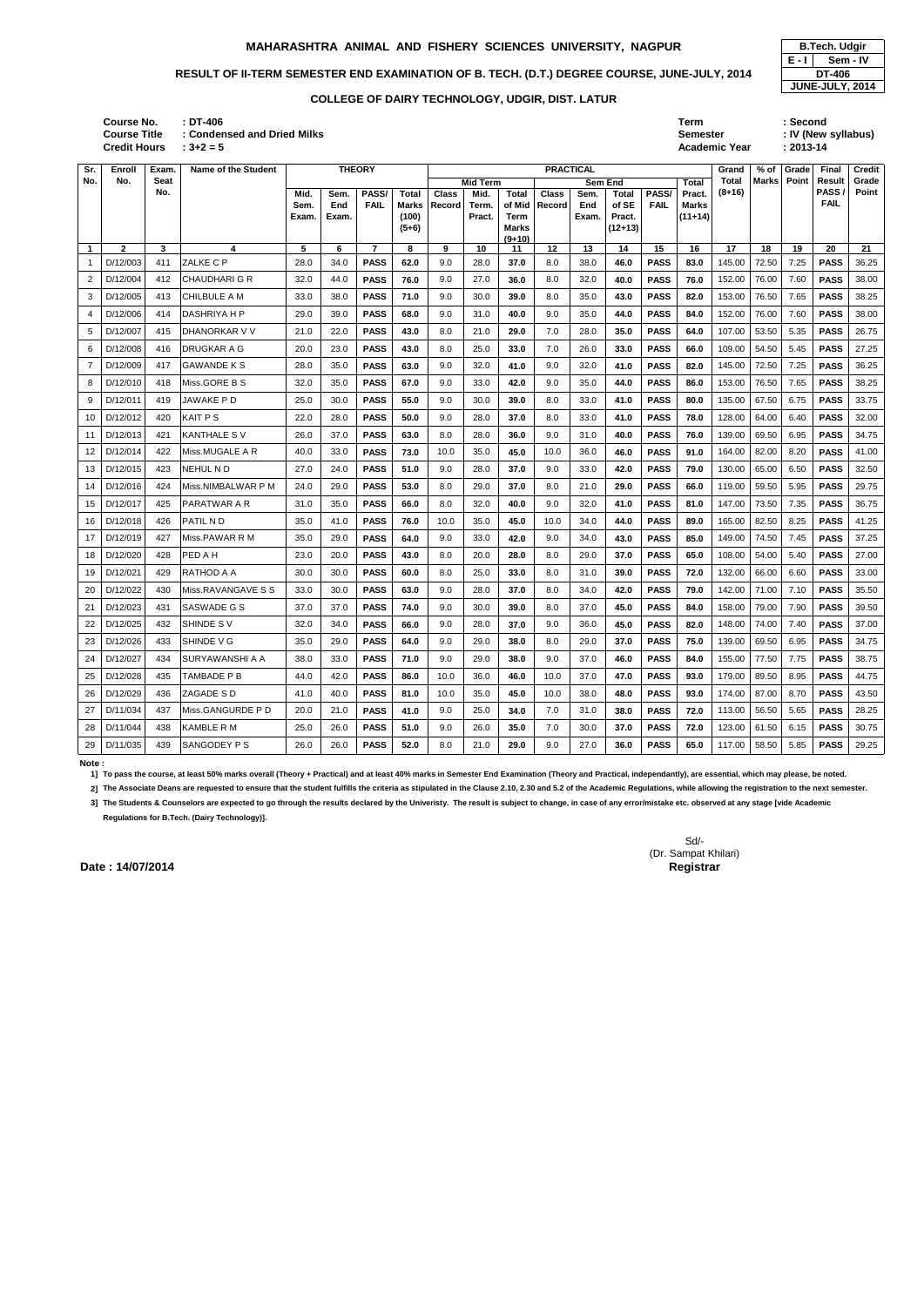| : DT-406                    | Term                 | : Second            |
|-----------------------------|----------------------|---------------------|
| : Condensed and Dried Milks | <b>Semester</b>      | : IV (New syllabus) |
| $: 3 + 2 = 5$               | <b>Academic Year</b> | $: 2013 - 14$       |

|                 | B.Tech. Udqir |  |  |  |  |  |  |  |  |  |
|-----------------|---------------|--|--|--|--|--|--|--|--|--|
| E - I           | Sem - IV      |  |  |  |  |  |  |  |  |  |
|                 | DT-406        |  |  |  |  |  |  |  |  |  |
| JUNE-JULY, 2014 |               |  |  |  |  |  |  |  |  |  |

| Sr.         | Enroll       | Exam.       | Name of the Student |              | <b>THEORY</b> |                      |                              |                        | <b>PRACTICAL</b> |                        |                        |             |                       |                      | Grand                  | % of                     | Grade        | Final | <b>Credit</b>  |                |
|-------------|--------------|-------------|---------------------|--------------|---------------|----------------------|------------------------------|------------------------|------------------|------------------------|------------------------|-------------|-----------------------|----------------------|------------------------|--------------------------|--------------|-------|----------------|----------------|
| No.         | No.          | Seat<br>No. |                     |              |               |                      |                              |                        | <b>Mid Term</b>  |                        |                        | Sem End     |                       |                      | Total                  | <b>Total</b><br>$(8+16)$ | <b>Marks</b> | Point | Result<br>PASS | Grade<br>Point |
|             |              |             |                     | Mid.<br>Sem. | Sem.<br>End   | PASS/<br><b>FAIL</b> | <b>Total</b><br><b>Marks</b> | <b>Class</b><br>Record | Mid.<br>Term.    | <b>Total</b><br>of Mid | <b>Class</b><br>Record | Sem.<br>End | <b>Total</b><br>of SE | PASS/<br><b>FAIL</b> | Pract.<br><b>Marks</b> |                          |              |       | <b>FAIL</b>    |                |
|             |              |             |                     | Exam.        | Exam.         |                      | (100)                        |                        | Pract.           | Term                   |                        | Exam.       | Pract.                |                      | $(11+14)$              |                          |              |       |                |                |
|             |              |             |                     |              |               |                      | $(5+6)$                      |                        |                  | <b>Marks</b>           |                        |             | $(12+13)$             |                      |                        |                          |              |       |                |                |
| $\mathbf 1$ | $\mathbf{2}$ | 3           | 4                   | 5            | 6             | $\overline{7}$       | 8                            | 9                      | 10               | $(9+10)$<br>11         | 12                     | 13          | 14                    | 15                   | 16                     | 17                       | 18           | 19    | 20             | 21             |
|             | D/12/003     | 411         | ZALKE C P           | 28.0         | 34.0          | <b>PASS</b>          | 62.0                         | 9.0                    | 28.0             | 37.0                   | 8.0                    | 38.0        | 46.0                  | <b>PASS</b>          | 83.0                   | 145.00                   | 72.50        | 7.25  | <b>PASS</b>    | 36.25          |
| 2           | D/12/004     | 412         | CHAUDHARI G R       | 32.0         | 44.0          | <b>PASS</b>          | 76.0                         | 9.0                    | 27.0             | 36.0                   | 8.0                    | 32.0        | 40.0                  | <b>PASS</b>          | 76.0                   | 152.00                   | 76.00        | 7.60  | <b>PASS</b>    | 38.00          |
| 3           | D/12/005     | 413         | CHILBULE A M        | 33.0         | 38.0          | <b>PASS</b>          | 71.0                         | 9.0                    | 30.0             | 39.0                   | 8.0                    | 35.0        | 43.0                  | <b>PASS</b>          | 82.0                   | 153.00                   | 76.50        | 7.65  | <b>PASS</b>    | 38.25          |
| 4           | D/12/006     | 414         | DASHRIYA H P        | 29.0         | 39.0          | <b>PASS</b>          | 68.0                         | 9.0                    | 31.0             | 40.0                   | 9.0                    | 35.0        | 44.0                  | <b>PASS</b>          | 84.0                   | 152.00                   | 76.00        | 7.60  | <b>PASS</b>    | 38.00          |
|             | D/12/007     | 415         | DHANORKAR V V       | 21.0         | 22.0          | <b>PASS</b>          | 43.0                         | 8.0                    | 21.0             | 29.0                   | 7.0                    | 28.0        | 35.0                  | <b>PASS</b>          | 64.0                   | 107.00                   | 53.50        | 5.35  | <b>PASS</b>    | 26.75          |
| 6           | D/12/008     | 416         | DRUGKAR A G         | 20.0         | 23.0          | <b>PASS</b>          | 43.0                         | 8.0                    | 25.0             | 33.0                   | 7.0                    | 26.0        | 33.0                  | <b>PASS</b>          | 66.0                   | 109.00                   | 54.50        | 5.45  | <b>PASS</b>    | 27.25          |
| 7           | D/12/009     | 417         | <b>GAWANDE K S</b>  | 28.0         | 35.0          | <b>PASS</b>          | 63.0                         | 9.0                    | 32.0             | 41.0                   | 9.0                    | 32.0        | 41.0                  | <b>PASS</b>          | 82.0                   | 145.00                   | 72.50        | 7.25  | <b>PASS</b>    | 36.25          |
| 8           | D/12/010     | 418         | Miss.GORE B S       | 32.0         | 35.0          | <b>PASS</b>          | 67.0                         | 9.0                    | 33.0             | 42.0                   | 9.0                    | 35.0        | 44.0                  | <b>PASS</b>          | 86.0                   | 153.00                   | 76.50        | 7.65  | <b>PASS</b>    | 38.25          |
| 9           | D/12/011     | 419         | JAWAKE P D          | 25.0         | 30.0          | <b>PASS</b>          | 55.0                         | 9.0                    | 30.0             | 39.0                   | 8.0                    | 33.0        | 41.0                  | <b>PASS</b>          | 80.0                   | 135.00                   | 67.50        | 6.75  | <b>PASS</b>    | 33.75          |
| 10          | D/12/012     | 420         | KAIT P S            | 22.0         | 28.0          | <b>PASS</b>          | 50.0                         | 9.0                    | 28.0             | 37.0                   | 8.0                    | 33.0        | 41.0                  | <b>PASS</b>          | 78.0                   | 128.00                   | 64.00        | 6.40  | <b>PASS</b>    | 32.00          |
| 11          | D/12/013     | 421         | <b>KANTHALE SV</b>  | 26.0         | 37.0          | <b>PASS</b>          | 63.0                         | 8.0                    | 28.0             | 36.0                   | 9.0                    | 31.0        | 40.0                  | <b>PASS</b>          | 76.0                   | 139.00                   | 69.50        | 6.95  | <b>PASS</b>    | 34.75          |
| 12          | D/12/014     | 422         | Miss.MUGALE A R     | 40.0         | 33.0          | <b>PASS</b>          | 73.0                         | 10.0                   | 35.0             | 45.0                   | 10.0                   | 36.0        | 46.0                  | <b>PASS</b>          | 91.0                   | 164.00                   | 82.00        | 8.20  | <b>PASS</b>    | 41.00          |
| 13          | D/12/015     | 423         | <b>NEHUL ND</b>     | 27.0         | 24.0          | <b>PASS</b>          | 51.0                         | 9.0                    | 28.0             | 37.0                   | 9.0                    | 33.0        | 42.0                  | <b>PASS</b>          | 79.0                   | 130.00                   | 65.00        | 6.50  | <b>PASS</b>    | 32.50          |
| 14          | D/12/016     | 424         | Miss.NIMBALWAR P M  | 24.0         | 29.0          | <b>PASS</b>          | 53.0                         | 8.0                    | 29.0             | 37.0                   | 8.0                    | 21.0        | 29.0                  | <b>PASS</b>          | 66.0                   | 119.00                   | 59.50        | 5.95  | <b>PASS</b>    | 29.75          |
| 15          | D/12/017     | 425         | PARATWAR A R        | 31.0         | 35.0          | <b>PASS</b>          | 66.0                         | 8.0                    | 32.0             | 40.0                   | 9.0                    | 32.0        | 41.0                  | <b>PASS</b>          | 81.0                   | 147.00                   | 73.50        | 7.35  | <b>PASS</b>    | 36.75          |
| 16          | D/12/018     | 426         | PATIL N D           | 35.0         | 41.0          | <b>PASS</b>          | 76.0                         | 10.0                   | 35.0             | 45.0                   | 10.0                   | 34.0        | 44.0                  | <b>PASS</b>          | 89.0                   | 165.00                   | 82.50        | 8.25  | <b>PASS</b>    | 41.25          |
| 17          | D/12/019     | 427         | Miss.PAWAR R M      | 35.0         | 29.0          | <b>PASS</b>          | 64.0                         | 9.0                    | 33.0             | 42.0                   | 9.0                    | 34.0        | 43.0                  | <b>PASS</b>          | 85.0                   | 149.00                   | 74.50        | 7.45  | <b>PASS</b>    | 37.25          |
| 18          | D/12/020     | 428         | PED A H             | 23.0         | 20.0          | <b>PASS</b>          | 43.0                         | 8.0                    | 20.0             | 28.0                   | 8.0                    | 29.0        | 37.0                  | <b>PASS</b>          | 65.0                   | 108.00                   | 54.00        | 5.40  | <b>PASS</b>    | 27.00          |
| 19          | D/12/021     | 429         | RATHOD A A          | 30.0         | 30.0          | <b>PASS</b>          | 60.0                         | 8.0                    | 25.0             | 33.0                   | 8.0                    | 31.0        | 39.0                  | <b>PASS</b>          | 72.0                   | 132.00                   | 66.00        | 6.60  | <b>PASS</b>    | 33.00          |
| 20          | D/12/022     | 430         | Miss.RAVANGAVE S S  | 33.0         | 30.0          | <b>PASS</b>          | 63.0                         | 9.0                    | 28.0             | 37.0                   | 8.0                    | 34.0        | 42.0                  | <b>PASS</b>          | 79.0                   | 142.00                   | 71.00        | 7.10  | <b>PASS</b>    | 35.50          |
| 21          | D/12/023     | 431         | SASWADE G S         | 37.0         | 37.0          | <b>PASS</b>          | 74.0                         | 9.0                    | 30.0             | 39.0                   | 8.0                    | 37.0        | 45.0                  | <b>PASS</b>          | 84.0                   | 158.00                   | 79.00        | 7.90  | <b>PASS</b>    | 39.50          |
| 22          | D/12/025     | 432         | SHINDE SV           | 32.0         | 34.0          | <b>PASS</b>          | 66.0                         | 9.0                    | 28.0             | 37.0                   | 9.0                    | 36.0        | 45.0                  | <b>PASS</b>          | 82.0                   | 148.00                   | 74.00        | 7.40  | <b>PASS</b>    | 37.00          |
| 23          | D/12/026     | 433         | SHINDE V G          | 35.0         | 29.0          | <b>PASS</b>          | 64.0                         | 9.0                    | 29.0             | 38.0                   | 8.0                    | 29.0        | 37.0                  | <b>PASS</b>          | 75.0                   | 139.00                   | 69.50        | 6.95  | <b>PASS</b>    | 34.75          |
|             | 24 D/12/027  | 434         | SURYAWANSHI A A     | 38.0         | 33.0          | <b>PASS</b>          | 71.0                         | 9.0                    | 29.0             | 38.0                   | 9.0                    | 37.0        | 46.0                  | <b>PASS</b>          | 84.0                   | 155.00 77.50             |              | 7.75  | <b>PASS</b>    | 38.75          |
|             | 25 D/12/028  | 435         | TAMBADE P B         | 44.0         | 42.0          | <b>PASS</b>          | 86.0                         | 10.0                   | 36.0             | 46.0                   | 10.0                   | 37.0        | 47.0                  | <b>PASS</b>          | 93.0                   | 179.00                   | 89.50        | 8.95  | <b>PASS</b>    | 44.75          |
|             | 26 D/12/029  | 436         | ZAGADE S D          | 41.0         | 40.0          | <b>PASS</b>          | 81.0                         | 10.0                   | 35.0             | 45.0                   | 10.0                   | 38.0        | 48.0                  | <b>PASS</b>          | 93.0                   | 174.00                   | 87.00        | 8.70  | <b>PASS</b>    | 43.50          |
|             | 27 D/11/034  | 437         | Miss.GANGURDE P D   | 20.0         | 21.0          | <b>PASS</b>          | 41.0                         | 9.0                    | 25.0             | 34.0                   | 7.0                    | 31.0        | 38.0                  | <b>PASS</b>          | 72.0                   | 113.00                   | 56.50        | 5.65  | <b>PASS</b>    | 28.25          |
|             | 28 D/11/044  | 438         | KAMBLE R M          | 25.0         | 26.0          | <b>PASS</b>          | 51.0                         | 9.0                    | 26.0             | 35.0                   | 7.0                    | 30.0        | 37.0                  | <b>PASS</b>          | 72.0                   | 123.00                   | 61.50        | 6.15  | <b>PASS</b>    | 30.75          |
|             | 29 D/11/035  | 439         | SANGODEY P S        | 26.0         | 26.0          | <b>PASS</b>          | 52.0                         | 8.0                    | 21.0             | 29.0                   | 9.0                    | 27.0        | 36.0                  | <b>PASS</b>          | 65.0                   | 117.00                   | 58.50        | 5.85  | <b>PASS</b>    | 29.25          |

### **Note :**

**1] To pass the course, at least 50% marks overall (Theory + Practical) and at least 40% marks in Semester End Examination (Theory and Practical, independantly), are essential, which may please, be noted.**

2] The Associate Deans are requested to ensure that the student fulfills the criteria as stipulated in the Clause 2.10, 2.30 and 5.2 of the Academic Regulations, while allowing the registration to the next semester.

**3] The Students & Counselors are expected to go through the results declared by the Univeristy. The result is subject to change, in case of any error/mistake etc. observed at any stage [vide Academic Regulations for B.Tech. (Dairy Technology)].**

> Sd/- (Dr. Sampat Khilari)

**Date : 14/07/2014** Registrar

**Credit Hours Course No. Course Title : Condensed and Dried Milks**

### **COLLEGE OF DAIRY TECHNOLOGY, UDGIR, DIST. LATUR**

### **MAHARASHTRA ANIMAL AND FISHERY SCIENCES UNIVERSITY, NAGPUR B.Tech. Udgir**

# RESULT OF II-TERM SEMESTER END EXAMINATION OF B. TECH. (D.T.) DEGREE COURSE, JUNE-JULY, 2014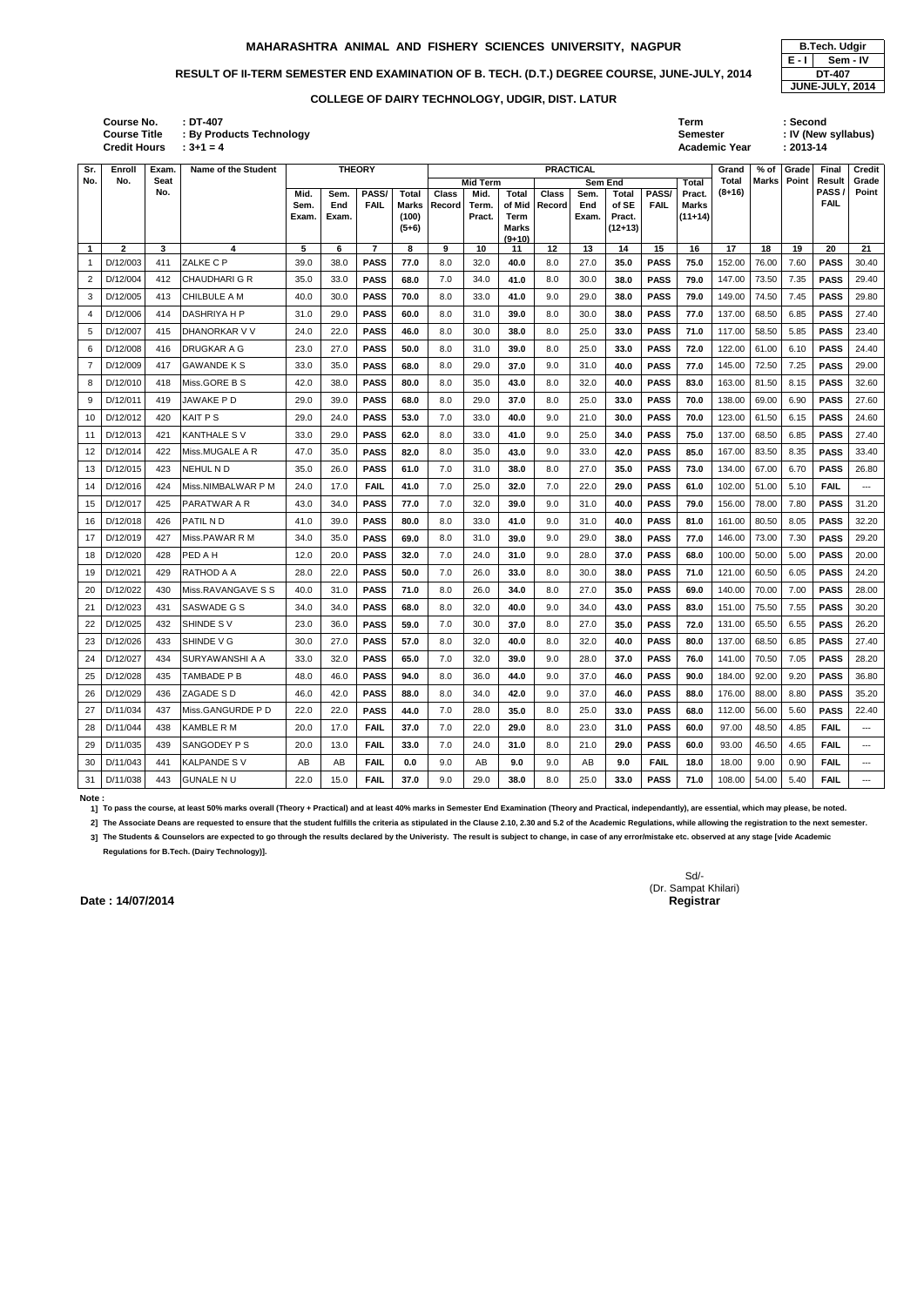| : DT-407                        | Term                 | :Second             |
|---------------------------------|----------------------|---------------------|
| <b>By Products Technology</b> : | <b>Semester</b>      | : IV (New syllabus) |
| $: 3 + 1 = 4$                   | <b>Academic Year</b> | $: 2013 - 14$       |
|                                 |                      |                     |

**Credit Hours Course No. Course Title : By Produc** 

|         | <b>B.Tech. Udgir</b>   |
|---------|------------------------|
| $E - I$ | Sem - IV               |
|         | DT-407                 |
|         | <b>JUNE-JULY, 2014</b> |

### **Note :**

**1] To pass the course, at least 50% marks overall (Theory + Practical) and at least 40% marks in Semester End Examination (Theory and Practical, independantly), are essential, which may please, be noted.**

2] The Associate Deans are requested to ensure that the student fulfills the criteria as stipulated in the Clause 2.10, 2.30 and 5.2 of the Academic Regulations, while allowing the registration to the next semester.

| Sr.          | Enroll       | Exam. | Name of the Student    |       |       | <b>THEORY</b>  |                  |              |                 |                      | <b>PRACTICAL</b> |       |                     |             |              | Grand  | % of         | Grade | Final               | <b>Credit</b>            |
|--------------|--------------|-------|------------------------|-------|-------|----------------|------------------|--------------|-----------------|----------------------|------------------|-------|---------------------|-------------|--------------|--------|--------------|-------|---------------------|--------------------------|
| No.          | No.          | Seat  |                        |       |       |                |                  |              | <b>Mid Term</b> |                      |                  |       | <b>Sem End</b>      |             | Total        | Total  | <b>Marks</b> | Point | Result              | Grade                    |
|              |              | No.   |                        | Mid.  | Sem.  | PASS/          | <b>Total</b>     | <b>Class</b> | Mid.            | <b>Total</b>         | <b>Class</b>     | Sem.  | Total               | PASS/       | Pract.       | (8+16) |              |       | PASS<br><b>FAIL</b> | Point                    |
|              |              |       |                        | Sem.  | End   | <b>FAIL</b>    | <b>Marks</b>     | Record       | Term.           | of Mid               | Record           | End   | of SE               | <b>FAIL</b> | <b>Marks</b> |        |              |       |                     |                          |
|              |              |       |                        | Exam. | Exam. |                | (100)<br>$(5+6)$ |              | Pract.          | Term<br><b>Marks</b> |                  | Exam. | Pract.<br>$(12+13)$ |             | $(11+14)$    |        |              |       |                     |                          |
|              |              |       |                        |       |       |                |                  |              |                 | $(9+10)$             |                  |       |                     |             |              |        |              |       |                     |                          |
| $\mathbf{1}$ | $\mathbf{2}$ | 3     | 4                      | 5     | 6     | $\overline{7}$ | 8                | 9            | 10              | 11                   | 12               | 13    | 14                  | 15          | 16           | 17     | 18           | 19    | 20                  | 21                       |
| $\mathbf{1}$ | D/12/003     | 411   | ZALKE C P              | 39.0  | 38.0  | PASS           | 77.0             | 8.0          | 32.0            | 40.0                 | 8.0              | 27.0  | 35.0                | <b>PASS</b> | 75.0         | 152.00 | 76.00        | 7.60  | <b>PASS</b>         | 30.40                    |
| 2            | D/12/004     | 412   | CHAUDHARI G R          | 35.0  | 33.0  | <b>PASS</b>    | 68.0             | 7.0          | 34.0            | 41.0                 | 8.0              | 30.0  | 38.0                | <b>PASS</b> | 79.0         | 147.00 | 73.50        | 7.35  | <b>PASS</b>         | 29.40                    |
| 3            | D/12/005     | 413   | <b>CHILBULE A M</b>    | 40.0  | 30.0  | <b>PASS</b>    | 70.0             | 8.0          | 33.0            | 41.0                 | 9.0              | 29.0  | 38.0                | <b>PASS</b> | 79.0         | 149.00 | 74.50        | 7.45  | <b>PASS</b>         | 29.80                    |
| 4            | D/12/006     | 414   | <b>DASHRIYA H P</b>    | 31.0  | 29.0  | <b>PASS</b>    | 60.0             | 8.0          | 31.0            | 39.0                 | 8.0              | 30.0  | 38.0                | <b>PASS</b> | 77.0         | 137.00 | 68.50        | 6.85  | <b>PASS</b>         | 27.40                    |
| 5            | D/12/007     | 415   | DHANORKAR V V          | 24.0  | 22.0  | <b>PASS</b>    | 46.0             | 8.0          | 30.0            | 38.0                 | 8.0              | 25.0  | 33.0                | <b>PASS</b> | 71.0         | 117.00 | 58.50        | 5.85  | <b>PASS</b>         | 23.40                    |
| 6            | D/12/008     | 416   | <b>DRUGKAR A G</b>     | 23.0  | 27.0  | <b>PASS</b>    | 50.0             | 8.0          | 31.0            | 39.0                 | 8.0              | 25.0  | 33.0                | <b>PASS</b> | 72.0         | 122.00 | 61.00        | 6.10  | <b>PASS</b>         | 24.40                    |
| 7            | D/12/009     | 417   | GAWANDE K S            | 33.0  | 35.0  | <b>PASS</b>    | 68.0             | 8.0          | 29.0            | 37.0                 | 9.0              | 31.0  | 40.0                | <b>PASS</b> | 77.0         | 145.00 | 72.50        | 7.25  | <b>PASS</b>         | 29.00                    |
| 8            | D/12/010     | 418   | Miss.GORE B S          | 42.0  | 38.0  | <b>PASS</b>    | 80.0             | 8.0          | 35.0            | 43.0                 | 8.0              | 32.0  | 40.0                | <b>PASS</b> | 83.0         | 163.00 | 81.50        | 8.15  | <b>PASS</b>         | 32.60                    |
| 9            | D/12/011     | 419   | JAWAKE P D             | 29.0  | 39.0  | <b>PASS</b>    | 68.0             | 8.0          | 29.0            | 37.0                 | 8.0              | 25.0  | 33.0                | <b>PASS</b> | 70.0         | 138.00 | 69.00        | 6.90  | <b>PASS</b>         | 27.60                    |
| 10           | D/12/012     | 420   | <b>KAIT PS</b>         | 29.0  | 24.0  | <b>PASS</b>    | 53.0             | 7.0          | 33.0            | 40.0                 | 9.0              | 21.0  | 30.0                | <b>PASS</b> | 70.0         | 123.00 | 61.50        | 6.15  | <b>PASS</b>         | 24.60                    |
| 11           | D/12/013     | 421   | KANTHALE S V           | 33.0  | 29.0  | <b>PASS</b>    | 62.0             | 8.0          | 33.0            | 41.0                 | 9.0              | 25.0  | 34.0                | <b>PASS</b> | 75.0         | 137.00 | 68.50        | 6.85  | <b>PASS</b>         | 27.40                    |
| 12           | D/12/014     | 422   | Miss.MUGALE A R        | 47.0  | 35.0  | <b>PASS</b>    | 82.0             | 8.0          | 35.0            | 43.0                 | 9.0              | 33.0  | 42.0                | <b>PASS</b> | 85.0         | 167.00 | 83.50        | 8.35  | <b>PASS</b>         | 33.40                    |
| 13           | D/12/015     | 423   | NEHUL N D              | 35.0  | 26.0  | <b>PASS</b>    | 61.0             | 7.0          | 31.0            | 38.0                 | 8.0              | 27.0  | 35.0                | <b>PASS</b> | 73.0         | 134.00 | 67.00        | 6.70  | <b>PASS</b>         | 26.80                    |
| 14           | D/12/016     | 424   | Miss.NIMBALWAR P M     | 24.0  | 17.0  | <b>FAIL</b>    | 41.0             | 7.0          | 25.0            | 32.0                 | 7.0              | 22.0  | 29.0                | <b>PASS</b> | 61.0         | 102.00 | 51.00        | 5.10  | <b>FAIL</b>         | $\overline{\phantom{a}}$ |
| 15           | D/12/017     | 425   | PARATWAR A R           | 43.0  | 34.0  | <b>PASS</b>    | 77.0             | 7.0          | 32.0            | 39.0                 | 9.0              | 31.0  | 40.0                | <b>PASS</b> | 79.0         | 156.00 | 78.00        | 7.80  | <b>PASS</b>         | 31.20                    |
| 16           | D/12/018     | 426   | PATIL N D              | 41.0  | 39.0  | <b>PASS</b>    | 80.0             | 8.0          | 33.0            | 41.0                 | 9.0              | 31.0  | 40.0                | <b>PASS</b> | 81.0         | 161.00 | 80.50        | 8.05  | <b>PASS</b>         | 32.20                    |
| 17           | D/12/019     | 427   | Miss.PAWAR R M         | 34.0  | 35.0  | <b>PASS</b>    | 69.0             | 8.0          | 31.0            | 39.0                 | 9.0              | 29.0  | 38.0                | <b>PASS</b> | 77.0         | 146.00 | 73.00        | 7.30  | <b>PASS</b>         | 29.20                    |
| 18           | D/12/020     | 428   | PED A H                | 12.0  | 20.0  | <b>PASS</b>    | 32.0             | 7.0          | 24.0            | 31.0                 | 9.0              | 28.0  | 37.0                | <b>PASS</b> | 68.0         | 100.00 | 50.00        | 5.00  | <b>PASS</b>         | 20.00                    |
| 19           | D/12/021     | 429   | RATHOD A A             | 28.0  | 22.0  | <b>PASS</b>    | 50.0             | 7.0          | 26.0            | 33.0                 | 8.0              | 30.0  | 38.0                | <b>PASS</b> | 71.0         | 121.00 | 60.50        | 6.05  | <b>PASS</b>         | 24.20                    |
| 20           | D/12/022     | 430   | Miss.RAVANGAVE S S     | 40.0  | 31.0  | <b>PASS</b>    | 71.0             | 8.0          | 26.0            | 34.0                 | 8.0              | 27.0  | 35.0                | <b>PASS</b> | 69.0         | 140.00 | 70.00        | 7.00  | <b>PASS</b>         | 28.00                    |
| 21           | D/12/023     | 431   | SASWADE G S            | 34.0  | 34.0  | <b>PASS</b>    | 68.0             | 8.0          | 32.0            | 40.0                 | 9.0              | 34.0  | 43.0                | <b>PASS</b> | 83.0         | 151.00 | 75.50        | 7.55  | <b>PASS</b>         | 30.20                    |
| 22           | D/12/025     | 432   | SHINDE SV              | 23.0  | 36.0  | <b>PASS</b>    | 59.0             | 7.0          | 30.0            | 37.0                 | 8.0              | 27.0  | 35.0                | <b>PASS</b> | 72.0         | 131.00 | 65.50        | 6.55  | <b>PASS</b>         | 26.20                    |
| 23           | D/12/026     | 433   | SHINDE V G             | 30.0  | 27.0  | <b>PASS</b>    | 57.0             | 8.0          | 32.0            | 40.0                 | 8.0              | 32.0  | 40.0                | <b>PASS</b> | 80.0         | 137.00 | 68.50        | 6.85  | <b>PASS</b>         | 27.40                    |
|              | 24 D/12/027  | 434   | <b>SURYAWANSHI A A</b> | 33.0  | 32.0  | <b>PASS</b>    | 65.0             | 7.0          | 32.0            | 39.0                 | 9.0              | 28.0  | 37.0                | <b>PASS</b> | 76.0         | 141.00 | 70.50 7.05   |       | <b>PASS</b>         | 28.20                    |
| 25           | D/12/028     | 435   | TAMBADE P B            | 48.0  | 46.0  | <b>PASS</b>    | 94.0             | 8.0          | 36.0            | 44.0                 | 9.0              | 37.0  | 46.0                | <b>PASS</b> | 90.0         | 184.00 | 92.00        | 9.20  | <b>PASS</b>         | 36.80                    |
| 26           | D/12/029     | 436   | ZAGADE S D             | 46.0  | 42.0  | <b>PASS</b>    | 88.0             | 8.0          | 34.0            | 42.0                 | 9.0              | 37.0  | 46.0                | <b>PASS</b> | 88.0         | 176.00 | 88.00        | 8.80  | <b>PASS</b>         | 35.20                    |
| 27           | D/11/034     | 437   | Miss.GANGURDE P D      | 22.0  | 22.0  | <b>PASS</b>    | 44.0             | 7.0          | 28.0            | 35.0                 | 8.0              | 25.0  | 33.0                | <b>PASS</b> | 68.0         | 112.00 | 56.00        | 5.60  | <b>PASS</b>         | 22.40                    |
| 28           | D/11/044     | 438   | KAMBLE R M             | 20.0  | 17.0  | <b>FAIL</b>    | 37.0             | 7.0          | 22.0            | 29.0                 | 8.0              | 23.0  | 31.0                | <b>PASS</b> | 60.0         | 97.00  | 48.50        | 4.85  | <b>FAIL</b>         | $\qquad \qquad - -$      |
| 29           | D/11/035     | 439   | SANGODEY P S           | 20.0  | 13.0  | <b>FAIL</b>    | 33.0             | 7.0          | 24.0            | 31.0                 | 8.0              | 21.0  | 29.0                | <b>PASS</b> | 60.0         | 93.00  | 46.50        | 4.65  | <b>FAIL</b>         | $\sim$                   |
| 30           | D/11/043     | 441   | KALPANDE S V           | AB    | AB    | <b>FAIL</b>    | 0.0              | 9.0          | AB              | 9.0                  | 9.0              | AB    | 9.0                 | <b>FAIL</b> | 18.0         | 18.00  | 9.00         | 0.90  | <b>FAIL</b>         | $\sim$ $\sim$ $\sim$     |
|              | 31 D/11/038  | 443   | <b>GUNALE N U</b>      | 22.0  | 15.0  | <b>FAIL</b>    | 37.0             | 9.0          | 29.0            | 38.0                 | 8.0              | 25.0  | 33.0                | <b>PASS</b> | 71.0         | 108.00 | 54.00        | 5.40  | <b>FAIL</b>         | $\scriptstyle \cdots$    |

**3] The Students & Counselors are expected to go through the results declared by the Univeristy. The result is subject to change, in case of any error/mistake etc. observed at any stage [vide Academic Regulations for B.Tech. (Dairy Technology)].**

### **MAHARASHTRA ANIMAL AND FISHERY SCIENCES UNIVERSITY, NAGPUR B.Tech. Udgir**

# RESULT OF II-TERM SEMESTER END EXAMINATION OF B. TECH. (D.T.) DEGREE COURSE, JUNE-JULY, 2014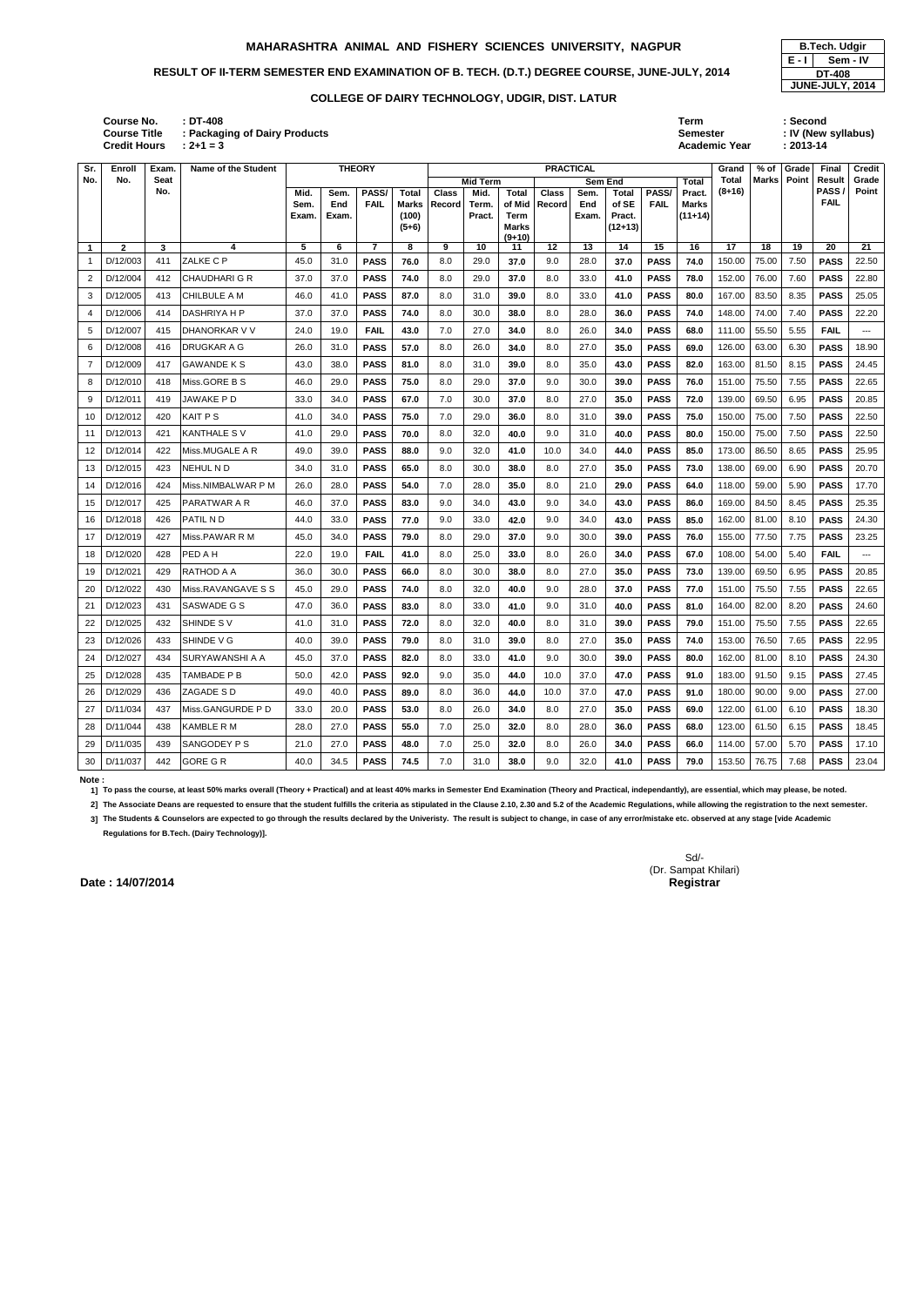**: DT-408 Term : Second Semester : IV (New syllabus)**

| Sr.            | Enroll       | <b>Exam</b> | Name of the Student  |               |              | <b>THEORY</b>  |                       |              |                 |                | <b>PRACTICAL</b> |              |                 |             |                           | Grand        | % of  | Grade | Final                      | <b>Credit</b> |
|----------------|--------------|-------------|----------------------|---------------|--------------|----------------|-----------------------|--------------|-----------------|----------------|------------------|--------------|-----------------|-------------|---------------------------|--------------|-------|-------|----------------------------|---------------|
| No.            | No.          | Seat        |                      |               |              |                |                       |              | <b>Mid Term</b> |                |                  | Sem End      |                 |             | Total                     | <b>Total</b> | Marks | Point | Result                     | Grade         |
|                |              | No.         |                      | Mid.          | Sem.         | PASS/          | <b>Total</b>          | <b>Class</b> | Mid.            | <b>Total</b>   | <b>Class</b>     | Sem.         | Total           | PASS/       | Pract.                    | (8+16)       |       |       | <b>PASS</b><br><b>FAIL</b> | Point         |
|                |              |             |                      | Sem.<br>Exam. | End<br>Exam. | <b>FAIL</b>    | <b>Marks</b><br>(100) | Record       | Term.<br>Pract. | of Mid<br>Term | Record           | End<br>Exam. | of SE<br>Pract. | <b>FAIL</b> | <b>Marks</b><br>$(11+14)$ |              |       |       |                            |               |
|                |              |             |                      |               |              |                | $(5+6)$               |              |                 | Marks          |                  |              | $(12+13)$       |             |                           |              |       |       |                            |               |
| $\mathbf{1}$   | $\mathbf{2}$ | 3           | 4                    | 5             | 6            | $\overline{7}$ | 8                     | 9            | 10              | $(9+10)$<br>11 | 12               | 13           | 14              | 15          | 16                        | 17           | 18    | 19    | 20                         | 21            |
| 1              | D/12/003     | 411         | ZALKE C P            | 45.0          | 31.0         | <b>PASS</b>    | 76.0                  | 8.0          | 29.0            | 37.0           | 9.0              | 28.0         | 37.0            | <b>PASS</b> | 74.0                      | 150.00       | 75.00 | 7.50  | <b>PASS</b>                | 22.50         |
| 2              | D/12/004     | 412         | <b>CHAUDHARI G R</b> | 37.0          | 37.0         | <b>PASS</b>    | 74.0                  | 8.0          | 29.0            | 37.0           | 8.0              | 33.0         | 41.0            | <b>PASS</b> | 78.0                      | 152.00       | 76.00 | 7.60  | <b>PASS</b>                | 22.80         |
| 3              | D/12/005     | 413         | CHILBULE A M         | 46.0          | 41.0         | <b>PASS</b>    | 87.0                  | 8.0          | 31.0            | 39.0           | 8.0              | 33.0         | 41.0            | <b>PASS</b> | 80.0                      | 167.00       | 83.50 | 8.35  | <b>PASS</b>                | 25.05         |
| 4              | D/12/006     | 414         | <b>DASHRIYA H P</b>  | 37.0          | 37.0         | <b>PASS</b>    | 74.0                  | 8.0          | 30.0            | 38.0           | 8.0              | 28.0         | 36.0            | <b>PASS</b> | 74.0                      | 148.00       | 74.00 | 7.40  | <b>PASS</b>                | 22.20         |
| 5              | D/12/007     | 415         | DHANORKAR V V        | 24.0          | 19.0         | <b>FAIL</b>    | 43.0                  | 7.0          | 27.0            | 34.0           | 8.0              | 26.0         | 34.0            | <b>PASS</b> | 68.0                      | 111.00       | 55.50 | 5.55  | <b>FAIL</b>                | ---           |
| 6              | D/12/008     | 416         | <b>IDRUGKAR A G</b>  | 26.0          | 31.0         | <b>PASS</b>    | 57.0                  | 8.0          | 26.0            | 34.0           | 8.0              | 27.0         | 35.0            | <b>PASS</b> | 69.0                      | 126.00       | 63.00 | 6.30  | <b>PASS</b>                | 18.90         |
| $\overline{7}$ | D/12/009     | 417         | <b>GAWANDE K S</b>   | 43.0          | 38.0         | <b>PASS</b>    | 81.0                  | 8.0          | 31.0            | 39.0           | 8.0              | 35.0         | 43.0            | <b>PASS</b> | 82.0                      | 163.00       | 81.50 | 8.15  | <b>PASS</b>                | 24.45         |
| 8              | D/12/010     | 418         | Miss.GORE B S        | 46.0          | 29.0         | <b>PASS</b>    | 75.0                  | 8.0          | 29.0            | 37.0           | 9.0              | 30.0         | 39.0            | <b>PASS</b> | 76.0                      | 151.00       | 75.50 | 7.55  | <b>PASS</b>                | 22.65         |
| 9              | D/12/011     | 419         | JAWAKE PD            | 33.0          | 34.0         | <b>PASS</b>    | 67.0                  | 7.0          | 30.0            | 37.0           | 8.0              | 27.0         | 35.0            | <b>PASS</b> | 72.0                      | 139.00       | 69.50 | 6.95  | <b>PASS</b>                | 20.85         |
| 10             | D/12/012     | 420         | KAIT P S             | 41.0          | 34.0         | <b>PASS</b>    | 75.0                  | 7.0          | 29.0            | 36.0           | 8.0              | 31.0         | 39.0            | <b>PASS</b> | 75.0                      | 150.00       | 75.00 | 7.50  | <b>PASS</b>                | 22.50         |
| 11             | D/12/013     | 421         | <b>KANTHALE SV</b>   | 41.0          | 29.0         | <b>PASS</b>    | 70.0                  | 8.0          | 32.0            | 40.0           | 9.0              | 31.0         | 40.0            | <b>PASS</b> | 80.0                      | 150.00       | 75.00 | 7.50  | <b>PASS</b>                | 22.50         |
| 12             | D/12/014     | 422         | Miss.MUGALE A R      | 49.0          | 39.0         | <b>PASS</b>    | 88.0                  | 9.0          | 32.0            | 41.0           | 10.0             | 34.0         | 44.0            | <b>PASS</b> | 85.0                      | 173.00       | 86.50 | 8.65  | <b>PASS</b>                | 25.95         |
| 13             | D/12/015     | 423         | NEHUL ND             | 34.0          | 31.0         | <b>PASS</b>    | 65.0                  | 8.0          | 30.0            | 38.0           | 8.0              | 27.0         | 35.0            | <b>PASS</b> | 73.0                      | 138.00       | 69.00 | 6.90  | <b>PASS</b>                | 20.70         |
| 14             | D/12/016     | 424         | Miss.NIMBALWAR P M   | 26.0          | 28.0         | <b>PASS</b>    | 54.0                  | 7.0          | 28.0            | 35.0           | 8.0              | 21.0         | 29.0            | <b>PASS</b> | 64.0                      | 118.00       | 59.00 | 5.90  | <b>PASS</b>                | 17.70         |
| 15             | D/12/017     | 425         | PARATWAR A R         | 46.0          | 37.0         | <b>PASS</b>    | 83.0                  | 9.0          | 34.0            | 43.0           | 9.0              | 34.0         | 43.0            | <b>PASS</b> | 86.0                      | 169.00       | 84.50 | 8.45  | <b>PASS</b>                | 25.35         |
| 16             | D/12/018     | 426         | PATIL N D            | 44.0          | 33.0         | <b>PASS</b>    | 77.0                  | 9.0          | 33.0            | 42.0           | 9.0              | 34.0         | 43.0            | <b>PASS</b> | 85.0                      | 162.00       | 81.00 | 8.10  | <b>PASS</b>                | 24.30         |
| 17             | D/12/019     | 427         | Miss.PAWAR R M       | 45.0          | 34.0         | <b>PASS</b>    | 79.0                  | 8.0          | 29.0            | 37.0           | 9.0              | 30.0         | 39.0            | <b>PASS</b> | 76.0                      | 155.00       | 77.50 | 7.75  | <b>PASS</b>                | 23.25         |
| 18             | D/12/020     | 428         | PED A H              | 22.0          | 19.0         | <b>FAIL</b>    | 41.0                  | 8.0          | 25.0            | 33.0           | 8.0              | 26.0         | 34.0            | <b>PASS</b> | 67.0                      | 108.00       | 54.00 | 5.40  | <b>FAIL</b>                | $---$         |
| 19             | D/12/021     | 429         | IRATHOD A A          | 36.0          | 30.0         | <b>PASS</b>    | 66.0                  | 8.0          | 30.0            | 38.0           | 8.0              | 27.0         | 35.0            | <b>PASS</b> | 73.0                      | 139.00       | 69.50 | 6.95  | <b>PASS</b>                | 20.85         |
| 20             | D/12/022     | 430         | Miss.RAVANGAVE S S   | 45.0          | 29.0         | <b>PASS</b>    | 74.0                  | 8.0          | 32.0            | 40.0           | 9.0              | 28.0         | 37.0            | <b>PASS</b> | 77.0                      | 151.00       | 75.50 | 7.55  | <b>PASS</b>                | 22.65         |
| 21             | D/12/023     | 431         | SASWADE G S          | 47.0          | 36.0         | <b>PASS</b>    | 83.0                  | 8.0          | 33.0            | 41.0           | 9.0              | 31.0         | 40.0            | <b>PASS</b> | 81.0                      | 164.00       | 82.00 | 8.20  | <b>PASS</b>                | 24.60         |
| 22             | D/12/025     | 432         | SHINDE SV            | 41.0          | 31.0         | <b>PASS</b>    | 72.0                  | 8.0          | 32.0            | 40.0           | 8.0              | 31.0         | 39.0            | <b>PASS</b> | 79.0                      | 151.00       | 75.50 | 7.55  | <b>PASS</b>                | 22.65         |
| 23             | D/12/026     | 433         | <b>SHINDE V G</b>    | 40.0          | 39.0         | <b>PASS</b>    | 79.0                  | 8.0          | 31.0            | 39.0           | 8.0              | 27.0         | 35.0            | <b>PASS</b> | 74.0                      | 153.00       | 76.50 | 7.65  | <b>PASS</b>                | 22.95         |
| 24             | D/12/027     | 434         | SURYAWANSHI A A      | 45.0          | 37.0         | <b>PASS</b>    | 82.0                  | 8.0          | 33.0            | 41.0           | 9.0              | 30.0         | 39.0            | <b>PASS</b> | 80.0                      | 162.00       | 81.00 | 8.10  | <b>PASS</b>                | 24.30         |
| 25             | D/12/028     | 435         | TAMBADE P B          | 50.0          | 42.0         | <b>PASS</b>    | 92.0                  | 9.0          | 35.0            | 44.0           | 10.0             | 37.0         | 47.0            | <b>PASS</b> | 91.0                      | 183.00       | 91.50 | 9.15  | <b>PASS</b>                | 27.45         |
| 26             | D/12/029     | 436         | ZAGADE S D           | 49.0          | 40.0         | <b>PASS</b>    | 89.0                  | 8.0          | 36.0            | 44.0           | 10.0             | 37.0         | 47.0            | <b>PASS</b> | 91.0                      | 180.00       | 90.00 | 9.00  | <b>PASS</b>                | 27.00         |
| 27             | D/11/034     | 437         | Miss.GANGURDE P D    | 33.0          | 20.0         | <b>PASS</b>    | 53.0                  | 8.0          | 26.0            | 34.0           | 8.0              | 27.0         | 35.0            | <b>PASS</b> | 69.0                      | 122.00       | 61.00 | 6.10  | <b>PASS</b>                | 18.30         |
| 28             | D/11/044     | 438         | <b>KAMBLE R M</b>    | 28.0          | 27.0         | <b>PASS</b>    | 55.0                  | 7.0          | 25.0            | 32.0           | 8.0              | 28.0         | 36.0            | <b>PASS</b> | 68.0                      | 123.00       | 61.50 | 6.15  | <b>PASS</b>                | 18.45         |
| 29             | D/11/035     | 439         | SANGODEY P S         | 21.0          | 27.0         | <b>PASS</b>    | 48.0                  | 7.0          | 25.0            | 32.0           | 8.0              | 26.0         | 34.0            | <b>PASS</b> | 66.0                      | 114.00       | 57.00 | 5.70  | <b>PASS</b>                | 17.10         |
| 30             | D/11/037     | 442         | <b>GORE G R</b>      | 40.0          | 34.5         | <b>PASS</b>    | 74.5                  | 7.0          | 31.0            | 38.0           | 9.0              | 32.0         | 41.0            | <b>PASS</b> | 79.0                      | 153.50       | 76.75 | 7.68  | <b>PASS</b>                | 23.04         |

**E - I Sem - IV DT-408 JUNE-JULY, 2014**

**2+1** = 3 **Academic Year Academic Year : Packaging of Dairy Products Credit Hours Course No. Course Title**

**Note :** 

**1] To pass the course, at least 50% marks overall (Theory + Practical) and at least 40% marks in Semester End Examination (Theory and Practical, independantly), are essential, which may please, be noted.**

2] The Associate Deans are requested to ensure that the student fulfills the criteria as stipulated in the Clause 2.10, 2.30 and 5.2 of the Academic Regulations, while allowing the registration to the next semester.

**3] The Students & Counselors are expected to go through the results declared by the Univeristy. The result is subject to change, in case of any error/mistake etc. observed at any stage [vide Academic** 

**Regulations for B.Tech. (Dairy Technology)].**

Sd/- (Dr. Sampat Khilari)

### **MAHARASHTRA ANIMAL AND FISHERY SCIENCES UNIVERSITY, NAGPUR | B.Tech. Udgir**

# **RESULT OF II-TERM SEMESTER END EXAMINATION OF B. TECH. (D.T.) DEGREE COURSE, JUNE-JULY, 2014**